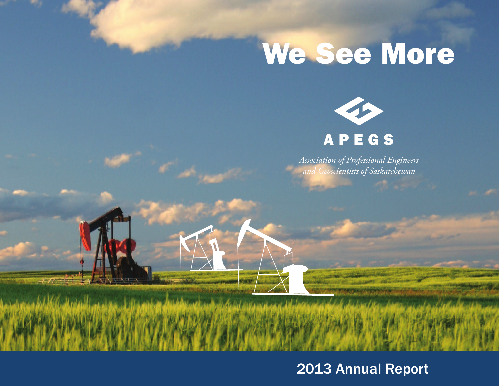# **We See More**



*Association of Professional Engineers and Geoscientists of Saskatchewan*

### 2013 Annual Report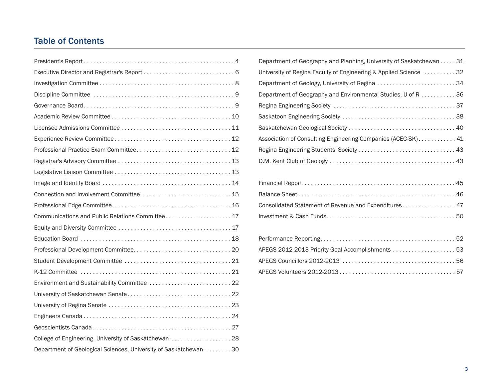### Table of Contents

| Connection and Involvement Committee 15                           |
|-------------------------------------------------------------------|
|                                                                   |
| Communications and Public Relations Committee 17                  |
|                                                                   |
|                                                                   |
|                                                                   |
|                                                                   |
|                                                                   |
| Environment and Sustainability Committee  22                      |
|                                                                   |
|                                                                   |
|                                                                   |
|                                                                   |
| College of Engineering, University of Saskatchewan  28            |
| Department of Geological Sciences, University of Saskatchewan. 30 |

| Department of Geography and Planning, University of Saskatchewan 31 |
|---------------------------------------------------------------------|
| University of Regina Faculty of Engineering & Applied Science 32    |
| Department of Geology, University of Regina 34                      |
| Department of Geography and Environmental Studies, U of R 36        |
|                                                                     |
|                                                                     |
|                                                                     |
| Association of Consulting Engineering Companies (ACEC-SK) 41        |
|                                                                     |
|                                                                     |

| Consolidated Statement of Revenue and Expenditures 47 |  |
|-------------------------------------------------------|--|
|                                                       |  |

| APEGS 2012-2013 Priority Goal Accomplishments  53 |  |
|---------------------------------------------------|--|
|                                                   |  |
|                                                   |  |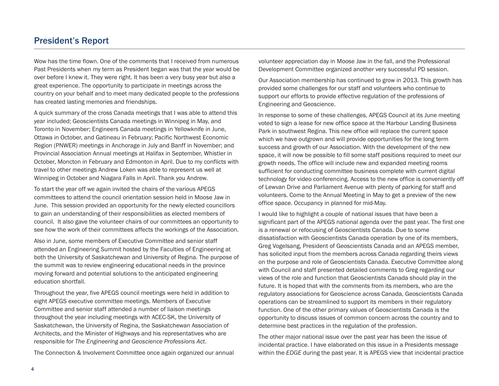### President's Report

Wow has the time flown. One of the comments that I received from numerous Past Presidents when my term as President began was that the year would be over before I knew it. They were right. It has been a very busy year but also a great experience. The opportunity to participate in meetings across the country on your behalf and to meet many dedicated people to the professions has created lasting memories and friendships.

A quick summary of the cross Canada meetings that I was able to attend this year included; Geoscientists Canada meetings in Winnipeg in May, and Toronto in November; Engineers Canada meetings in Yellowknife in June, Ottawa in October, and Gatineau in February; Pacific Northwest Economic Region (PNWER) meetings in Anchorage in July and Banff in November; and Provincial Association Annual meetings at Halifax in September, Whistler in October, Moncton in February and Edmonton in April. Due to my conflicts with travel to other meetings Andrew Loken was able to represent us well at Winnipeg in October and Niagara Falls in April. Thank you Andrew.

To start the year off we again invited the chairs of the various APEGS committees to attend the council orientation session held in Moose Jaw in June. This session provided an opportunity for the newly elected councillors to gain an understanding of their responsibilities as elected members of council. It also gave the volunteer chairs of our committees an opportunity to see how the work of their committees affects the workings of the Association.

Also in June, some members of Executive Committee and senior staff attended an Engineering Summit hosted by the Faculties of Engineering at both the University of Saskatchewan and University of Regina. The purpose of the summit was to review engineering educational needs in the province moving forward and potential solutions to the anticipated engineering education shortfall.

Throughout the year, five APEGS council meetings were held in addition to eight APEGS executive committee meetings. Members of Executive Committee and senior staff attended a number of liaison meetings throughout the year including meetings with ACEC-SK, the University of Saskatchewan, the University of Regina, the Saskatchewan Association of Architects, and the Minister of Highways and his representatives who are responsible for *The Engineering and Geoscience Professions Act*.

The Connection & Involvement Committee once again organized our annual

volunteer appreciation day in Moose Jaw in the fall, and the Professional Development Committee organized another very successful PD session.

Our Association membership has continued to grow in 2013. This growth has provided some challenges for our staff and volunteers who continue to support our efforts to provide effective regulation of the professions of Engineering and Geoscience.

In response to some of these challenges, APEGS Council at its June meeting voted to sign a lease for new office space at the Harbour Landing Business Park in southwest Regina. This new office will replace the current space which we have outgrown and will provide opportunities for the long term success and growth of our Association. With the development of the new space, it will now be possible to fill some staff positions required to meet our growth needs. The office will include new and expanded meeting rooms sufficient for conducting committee business complete with current digital technology for video conferencing. Access to the new office is conveniently off of Lewvan Drive and Parliament Avenue with plenty of parking for staff and volunteers. Come to the Annual Meeting in May to get a preview of the new office space. Occupancy in planned for mid-May.

I would like to highlight a couple of national issues that have been a significant part of the APEGS national agenda over the past year. The first one is a renewal or refocusing of Geoscientists Canada. Due to some dissatisfaction with Geoscientists Canada operation by one of its members, Greg Vogelsang, President of Geoscientists Canada and an APEGS member, has solicited input from the members across Canada regarding theirs views on the purpose and role of Geoscientists Canada. Executive Committee along with Council and staff presented detailed comments to Greg regarding our views of the role and function that Geoscientists Canada should play in the future. It is hoped that with the comments from its members, who are the regulatory associations for Geoscience across Canada, Geoscientists Canada operations can be streamlined to support its members in their regulatory function. One of the other primary values of Geoscientists Canada is the opportunity to discuss issues of common concern across the country and to determine best practices in the regulation of the profession.

The other major national issue over the past year has been the issue of incidental practice. I have elaborated on this issue in a Presidents message within the *EDGE* during the past year. It is APEGS view that incidental practice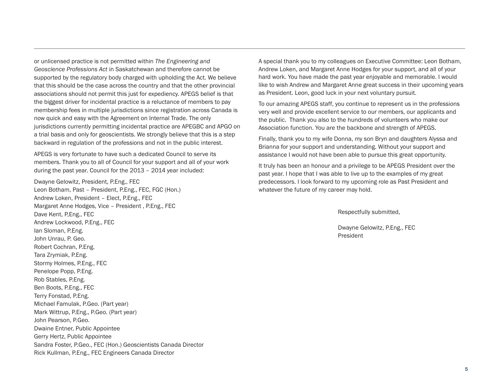or unlicensed practice is not permitted within *The Engineering and Geoscience Professions Act* in Saskatchewan and therefore cannot be supported by the regulatory body charged with upholding the Act. We believe that this should be the case across the country and that the other provincial associations should not permit this just for expediency. APEGS belief is that the biggest driver for incidental practice is a reluctance of members to pay membership fees in multiple jurisdictions since registration across Canada is now quick and easy with the Agreement on Internal Trade. The only jurisdictions currently permitting incidental practice are APEGBC and APGO on a trial basis and only for geoscientists. We strongly believe that this is a step backward in regulation of the professions and not in the public interest.

APEGS is very fortunate to have such a dedicated Council to serve its members. Thank you to all of Council for your support and all of your work during the past year. Council for the 2013 – 2014 year included:

Dwayne Gelowitz, President, P.Eng., FEC Leon Botham, Past – President, P.Eng., FEC, FGC (Hon.) Andrew Loken, President – Elect, P.Eng., FEC Margaret Anne Hodges, Vice – President , P.Eng., FEC Dave Kent, P,Eng., FEC Andrew Lockwood, P.Eng., FEC Ian Sloman, P.Eng. John Unrau, P. Geo. Robert Cochran, P.Eng. Tara Zrymiak, P.Eng. Stormy Holmes, P.Eng., FEC Penelope Popp, P.Eng. Rob Stables, P.Eng. Ben Boots, P.Eng., FEC Terry Fonstad, P.Eng. Michael Famulak, P.Geo. (Part year) Mark Wittrup, P.Eng., P.Geo. (Part year) John Pearson, P.Geo. Dwaine Entner, Public Appointee Gerry Hertz, Public Appointee Sandra Foster, P.Geo., FEC (Hon.) Geoscientists Canada Director Rick Kullman, P.Eng., FEC Engineers Canada Director

A special thank you to my colleagues on Executive Committee: Leon Botham, Andrew Loken, and Margaret Anne Hodges for your support, and all of your hard work. You have made the past year enjoyable and memorable. I would like to wish Andrew and Margaret Anne great success in their upcoming years as President. Leon, good luck in your next voluntary pursuit.

To our amazing APEGS staff, you continue to represent us in the professions very well and provide excellent service to our members, our applicants and the public. Thank you also to the hundreds of volunteers who make our Association function. You are the backbone and strength of APEGS.

Finally, thank you to my wife Donna, my son Bryn and daughters Alyssa and Brianna for your support and understanding. Without your support and assistance I would not have been able to pursue this great opportunity.

It truly has been an honour and a privilege to be APEGS President over the past year. I hope that I was able to live up to the examples of my great predecessors. I look forward to my upcoming role as Past President and whatever the future of my career may hold.

Respectfully submitted,

Dwayne Gelowitz, P.Eng., FEC President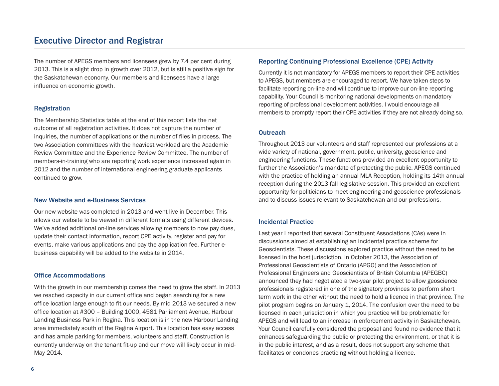### Executive Director and Registrar

The number of APEGS members and licensees grew by 7.4 per cent during 2013. This is a slight drop in growth over 2012, but is still a positive sign for the Saskatchewan economy. Our members and licensees have a large influence on economic growth.

#### Registration

The Membership Statistics table at the end of this report lists the net outcome of all registration activities. It does not capture the number of inquiries, the number of applications or the number of files in process. The two Association committees with the heaviest workload are the Academic Review Committee and the Experience Review Committee. The number of members-in-training who are reporting work experience increased again in 2012 and the number of international engineering graduate applicants continued to grow.

#### New Website and e-Business Services

Our new website was completed in 2013 and went live in December. This allows our website to be viewed in different formats using different devices. We've added additional on-line services allowing members to now pay dues, update their contact information, report CPE activity, register and pay for events, make various applications and pay the application fee. Further ebusiness capability will be added to the website in 2014.

#### Office Accommodations

With the growth in our membership comes the need to grow the staff. In 2013 we reached capacity in our current office and began searching for a new office location large enough to fit our needs. By mid 2013 we secured a new office location at #300 – Building 1000, 4581 Parliament Avenue, Harbour Landing Business Park in Regina. This location is in the new Harbour Landing area immediately south of the Regina Airport. This location has easy access and has ample parking for members, volunteers and staff. Construction is currently underway on the tenant fit-up and our move will likely occur in mid-May 2014.

#### Reporting Continuing Professional Excellence (CPE) Activity

Currently it is not mandatory for APEGS members to report their CPE activities to APEGS, but members are encouraged to report. We have taken steps to facilitate reporting on-line and will continue to improve our on-line reporting capability. Your Council is monitoring national developments on mandatory reporting of professional development activities. I would encourage all members to promptly report their CPE activities if they are not already doing so.

#### **Outreach**

Throughout 2013 our volunteers and staff represented our professions at a wide variety of national, government, public, university, geoscience and engineering functions. These functions provided an excellent opportunity to further the Association's mandate of protecting the public. APEGS continued with the practice of holding an annual MLA Reception, holding its 14th annual reception during the 2013 fall legislative session. This provided an excellent opportunity for politicians to meet engineering and geoscience professionals and to discuss issues relevant to Saskatchewan and our professions.

#### Incidental Practice

Last year I reported that several Constituent Associations (CAs) were in discussions aimed at establishing an incidental practice scheme for Geoscientists. These discussions explored practice without the need to be licensed in the host jurisdiction. In October 2013, the Association of Professional Geoscientists of Ontario (APGO) and the Association of Professional Engineers and Geoscientists of British Columbia (APEGBC) announced they had negotiated a two-year pilot project to allow geoscience professionals registered in one of the signatory provinces to perform short term work in the other without the need to hold a licence in that province. The pilot program begins on January 1, 2014. The confusion over the need to be licensed in each jurisdiction in which you practice will be problematic for APEGS and will lead to an increase in enforcement activity in Saskatchewan. Your Council carefully considered the proposal and found no evidence that it enhances safeguarding the public or protecting the environment, or that it is in the public interest, and as a result, does not support any scheme that facilitates or condones practicing without holding a licence.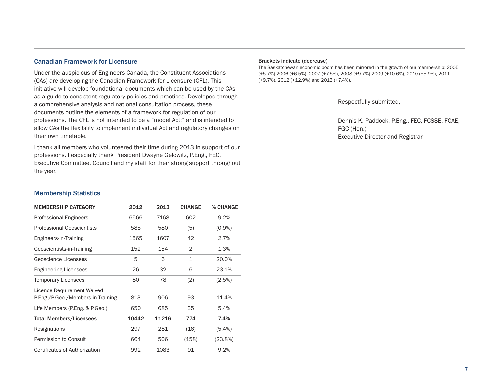#### Canadian Framework for Licensure

Under the auspicious of Engineers Canada, the Constituent Associations (CAs) are developing the Canadian Framework for Licensure (CFL). This initiative will develop foundational documents which can be used by the CAs as a guide to consistent regulatory policies and practices. Developed through a comprehensive analysis and national consultation process, these documents outline the elements of a framework for regulation of our professions. The CFL is not intended to be a "model Act;" and is intended to allow CAs the flexibility to implement individual Act and regulatory changes on their own timetable.

I thank all members who volunteered their time during 2013 in support of our professions. I especially thank President Dwayne Gelowitz, P.Eng., FEC, Executive Committee, Council and my staff for their strong support throughout the year.

#### Brackets indicate (decrease)

The Saskatchewan economic boom has been mirrored in the growth of our membership: 2005 (+5.7%) 2006 (+6.5%), 2007 (+7.5%), 2008 (+9.7%) 2009 (+10.6%), 2010 (+5.9%), 2011 (+9.7%), 2012 (+12.9%) and 2013 (+7.4%).

Respectfully submitted,

Dennis K. Paddock, P.Eng., FEC, FCSSE, FCAE, FGC (Hon.) Executive Director and Registrar

#### Membership Statistics

| <b>MEMBERSHIP CATEGORY</b>                                      | 2012  | 2013  | <b>CHANGE</b>  | % CHANGE   |
|-----------------------------------------------------------------|-------|-------|----------------|------------|
| <b>Professional Engineers</b>                                   | 6566  | 7168  | 602            | 9.2%       |
| <b>Professional Geoscientists</b>                               | 585   | 580   | (5)            | $(0.9\%)$  |
| Engineers-in-Training                                           | 1565  | 1607  | 42             | 2.7%       |
| Geoscientists-in-Training                                       | 152   | 154   | $\overline{2}$ | 1.3%       |
| Geoscience Licensees                                            | 5     | 6     | $\mathbf{1}$   | 20.0%      |
| <b>Engineering Licensees</b>                                    | 26    | 32    | 6              | 23.1%      |
| <b>Temporary Licensees</b>                                      | 80    | 78    | (2)            | (2.5%)     |
| Licence Requirement Waived<br>P.Eng./P.Geo./Members-in-Training | 813   | 906   | 93             | 11.4%      |
| Life Members (P.Eng. & P.Geo.)                                  | 650   | 685   | 35             | 5.4%       |
| <b>Total Members/Licensees</b>                                  | 10442 | 11216 | 774            | 7.4%       |
| Resignations                                                    | 297   | 281   | (16)           | $(5.4\%)$  |
| Permission to Consult                                           | 664   | 506   | (158)          | $(23.8\%)$ |
| Certificates of Authorization                                   | 992   | 1083  | 91             | 9.2%       |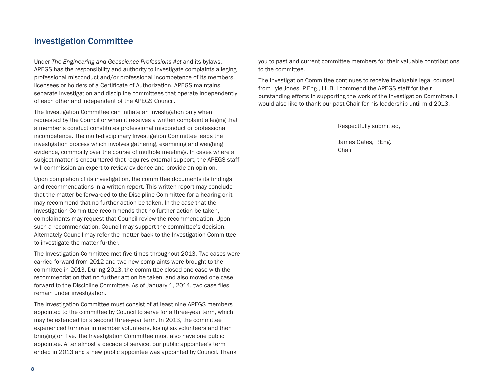### Investigation Committee

Under *The Engineering and Geoscience Professions Act* and its bylaws, APEGS has the responsibility and authority to investigate complaints alleging professional misconduct and/or professional incompetence of its members, licensees or holders of a Certificate of Authorization. APEGS maintains separate investigation and discipline committees that operate independently of each other and independent of the APEGS Council.

The Investigation Committee can initiate an investigation only when requested by the Council or when it receives a written complaint alleging that a member's conduct constitutes professional misconduct or professional incompetence. The multi-disciplinary Investigation Committee leads the investigation process which involves gathering, examining and weighing evidence, commonly over the course of multiple meetings. In cases where a subject matter is encountered that requires external support, the APEGS staff will commission an expert to review evidence and provide an opinion.

Upon completion of its investigation, the committee documents its findings and recommendations in a written report. This written report may conclude that the matter be forwarded to the Discipline Committee for a hearing or it may recommend that no further action be taken. In the case that the Investigation Committee recommends that no further action be taken, complainants may request that Council review the recommendation. Upon such a recommendation, Council may support the committee's decision. Alternately Council may refer the matter back to the Investigation Committee to investigate the matter further.

The Investigation Committee met five times throughout 2013. Two cases were carried forward from 2012 and two new complaints were brought to the committee in 2013. During 2013, the committee closed one case with the recommendation that no further action be taken, and also moved one case forward to the Discipline Committee. As of January 1, 2014, two case files remain under investigation.

The Investigation Committee must consist of at least nine APEGS members appointed to the committee by Council to serve for a three-year term, which may be extended for a second three-year term. In 2013, the committee experienced turnover in member volunteers, losing six volunteers and then bringing on five. The Investigation Committee must also have one public appointee. After almost a decade of service, our public appointee's term ended in 2013 and a new public appointee was appointed by Council. Thank you to past and current committee members for their valuable contributions to the committee.

The Investigation Committee continues to receive invaluable legal counsel from Lyle Jones, P.Eng., LL.B. I commend the APEGS staff for their outstanding efforts in supporting the work of the Investigation Committee. I would also like to thank our past Chair for his leadership until mid-2013.

Respectfully submitted,

James Gates, P.Eng. Chair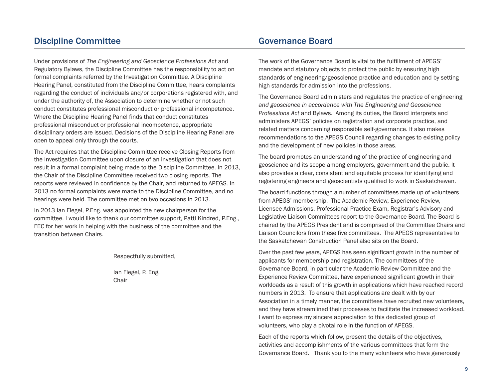### Discipline Committee

Under provisions of *The Engineering and Geoscience Professions Act* and Regulatory Bylaws, the Discipline Committee has the responsibility to act on formal complaints referred by the Investigation Committee. A Discipline Hearing Panel, constituted from the Discipline Committee, hears complaints regarding the conduct of individuals and/or corporations registered with, and under the authority of, the Association to determine whether or not such conduct constitutes professional misconduct or professional incompetence. Where the Discipline Hearing Panel finds that conduct constitutes professional misconduct or professional incompetence, appropriate disciplinary orders are issued. Decisions of the Discipline Hearing Panel are open to appeal only through the courts.

The Act requires that the Discipline Committee receive Closing Reports from the Investigation Committee upon closure of an investigation that does not result in a formal complaint being made to the Discipline Committee. In 2013, the Chair of the Discipline Committee received two closing reports. The reports were reviewed in confidence by the Chair, and returned to APEGS. In 2013 no formal complaints were made to the Discipline Committee, and no hearings were held. The committee met on two occasions in 2013.

In 2013 Ian Flegel, P.Eng. was appointed the new chairperson for the committee. I would like to thank our committee support, Patti Kindred, P.Eng., FEC for her work in helping with the business of the committee and the transition between Chairs.

Respectfully submitted,

Ian Flegel, P. Eng. Chair

### Governance Board

The work of the Governance Board is vital to the fulfillment of APEGS' mandate and statutory objects to protect the public by ensuring high standards of engineering/geoscience practice and education and by setting high standards for admission into the professions.

The Governance Board administers and regulates the practice of engineering *and geoscience in accordance with The Engineering and Geoscience Professions Act* and Bylaws. Among its duties, the Board interprets and administers APEGS' policies on registration and corporate practice, and related matters concerning responsible self-governance. It also makes recommendations to the APEGS Council regarding changes to existing policy and the development of new policies in those areas.

The board promotes an understanding of the practice of engineering and geoscience and its scope among employers, government and the public. It also provides a clear, consistent and equitable process for identifying and registering engineers and geoscientists qualified to work in Saskatchewan.

The board functions through a number of committees made up of volunteers from APEGS' membership. The Academic Review, Experience Review, Licensee Admissions, Professional Practice Exam, Registrar's Advisory and Legislative Liaison Committees report to the Governance Board. The Board is chaired by the APEGS President and is comprised of the Committee Chairs and Liaison Councilors from these five committees. The APEGS representative to the Saskatchewan Construction Panel also sits on the Board.

Over the past few years, APEGS has seen significant growth in the number of applicants for membership and registration. The committees of the Governance Board, in particular the Academic Review Committee and the Experience Review Committee, have experienced significant growth in their workloads as a result of this growth in applications which have reached record numbers in 2013. To ensure that applications are dealt with by our Association in a timely manner, the committees have recruited new volunteers, and they have streamlined their processes to facilitate the increased workload. I want to express my sincere appreciation to this dedicated group of volunteers, who play a pivotal role in the function of APEGS.

Each of the reports which follow, present the details of the objectives, activities and accomplishments of the various committees that form the Governance Board. Thank you to the many volunteers who have generously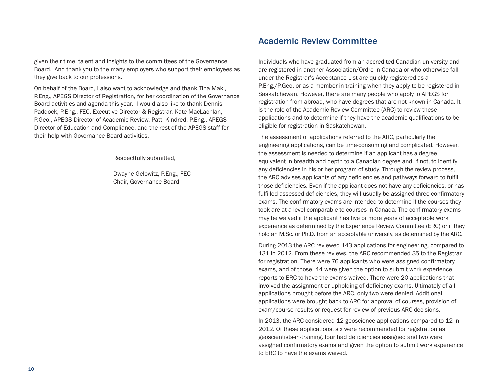given their time, talent and insights to the committees of the Governance Board. And thank you to the many employers who support their employees as they give back to our professions.

On behalf of the Board, I also want to acknowledge and thank Tina Maki, P.Eng., APEGS Director of Registration, for her coordination of the Governance Board activities and agenda this year. I would also like to thank Dennis Paddock, P.Eng., FEC, Executive Director & Registrar, Kate MacLachlan, P.Geo., APEGS Director of Academic Review, Patti Kindred, P.Eng., APEGS Director of Education and Compliance, and the rest of the APEGS staff for their help with Governance Board activities.

Respectfully submitted,

Dwayne Gelowitz, P.Eng., FEC Chair, Governance Board

### Academic Review Committee

Individuals who have graduated from an accredited Canadian university and are registered in another Association/Ordre in Canada or who otherwise fall under the Registrar's Acceptance List are quickly registered as a P.Eng./P.Geo. or as a member-in-training when they apply to be registered in Saskatchewan. However, there are many people who apply to APEGS for registration from abroad, who have degrees that are not known in Canada. It is the role of the Academic Review Committee (ARC) to review these applications and to determine if they have the academic qualifications to be eligible for registration in Saskatchewan.

The assessment of applications referred to the ARC, particularly the engineering applications, can be time-consuming and complicated. However, the assessment is needed to determine if an applicant has a degree equivalent in breadth and depth to a Canadian degree and, if not, to identify any deficiencies in his or her program of study. Through the review process, the ARC advises applicants of any deficiencies and pathways forward to fulfill those deficiencies. Even if the applicant does not have any deficiencies, or has fulfilled assessed deficiencies, they will usually be assigned three confirmatory exams. The confirmatory exams are intended to determine if the courses they took are at a level comparable to courses in Canada. The confirmatory exams may be waived if the applicant has five or more years of acceptable work experience as determined by the Experience Review Committee (ERC) or if they hold an M.Sc. or Ph.D. from an acceptable university, as determined by the ARC.

During 2013 the ARC reviewed 143 applications for engineering, compared to 131 in 2012. From these reviews, the ARC recommended 35 to the Registrar for registration. There were 76 applicants who were assigned confirmatory exams, and of those, 44 were given the option to submit work experience reports to ERC to have the exams waived. There were 20 applications that involved the assignment or upholding of deficiency exams. Ultimately of all applications brought before the ARC, only two were denied. Additional applications were brought back to ARC for approval of courses, provision of exam/course results or request for review of previous ARC decisions.

In 2013, the ARC considered 12 geoscience applications compared to 12 in 2012. Of these applications, six were recommended for registration as geoscientists-in-training, four had deficiencies assigned and two were assigned confirmatory exams and given the option to submit work experience to ERC to have the exams waived.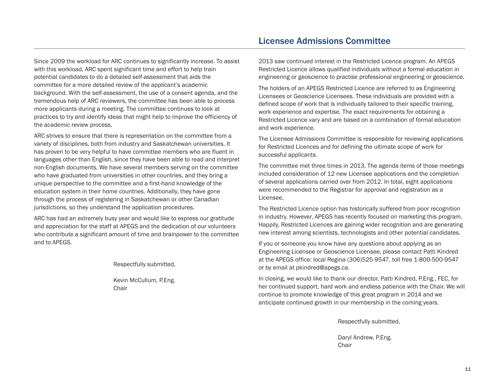Since 2009 the workload for ARC continues to significantly increase. To assist with this workload, ARC spent significant time and effort to help train potential candidates to do a detailed self-assessment that aids the committee for a more detailed review of the applicant's academic background. With the self-assessment, the use of a consent agenda, and the tremendous help of ARC reviewers, the committee has been able to process more applicants during a meeting. The committee continues to look at practices to try and identify ideas that might help to improve the efficiency of the academic review process.

ARC strives to ensure that there is representation on the committee from a variety of disciplines, both from industry and Saskatchewan universities. It has proven to be very helpful to have committee members who are fluent in languages other than English, since they have been able to read and interpret non-English documents. We have several members serving on the committee who have graduated from universities in other countries, and they bring a unique perspective to the committee and a first-hand knowledge of the education system in their home countries. Additionally, they have gone through the process of registering in Saskatchewan or other Canadian jurisdictions, so they understand the application procedures.

ARC has had an extremely busy year and would like to express our gratitude and appreciation for the staff at APEGS and the dedication of our volunteers who contribute a significant amount of time and brainpower to the committee and to APEGS.

Respectfully submitted,

Kevin McCullum, P.Eng. Chair

### Licensee Admissions Committee

2013 saw continued interest in the Restricted Licence program. An APEGS Restricted Licence allows qualified individuals without a formal education in engineering or geoscience to practise professional engineering or geoscience.

The holders of an APEGS Restricted Licence are referred to as Engineering Licensees or Geoscience Licensees. These individuals are provided with a defined scope of work that is individually tailored to their specific training, work experience and expertise. The exact requirements for obtaining a Restricted Licence vary and are based on a combination of formal education and work experience.

The Licensee Admissions Committee is responsible for reviewing applications for Restricted Licences and for defining the ultimate scope of work for successful applicants.

The committee met three times in 2013. The agenda items of those meetings included consideration of 12 new Licensee applications and the completion of several applications carried over from 2012. In total, eight applications were recommended to the Registrar for approval and registration as a Licensee.

The Restricted Licence option has historically suffered from poor recognition in industry. However, APEGS has recently focused on marketing this program. Happily, Restricted Licences are gaining wider recognition and are generating new interest among scientists, technologists and other potential candidates.

If you or someone you know have any questions about applying as an Engineering Licensee or Geoscience Licensee, please contact Patti Kindred at the APEGS office: local Regina (306)525-9547, toll free 1-800-500-9547 or by email at pkindred@apegs.ca.

In closing, we would like to thank our director, Patti Kindred, P.Eng., FEC, for her continued support, hard work and endless patience with the Chair. We will continue to promote knowledge of this great program in 2014 and we anticipate continued growth in our membership in the coming years.

Respectfully submitted,

Daryl Andrew, P.Eng. Chair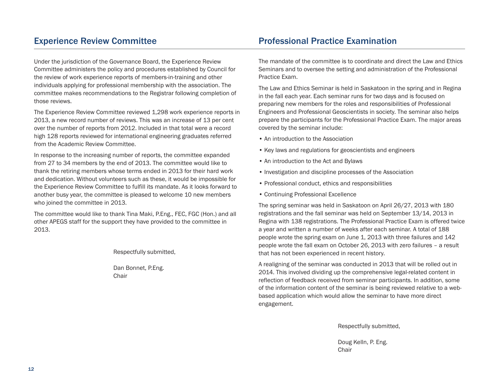### Experience Review Committee

Under the jurisdiction of the Governance Board, the Experience Review Committee administers the policy and procedures established by Council for the review of work experience reports of members-in-training and other individuals applying for professional membership with the association. The committee makes recommendations to the Registrar following completion of those reviews.

The Experience Review Committee reviewed 1,298 work experience reports in 2013, a new record number of reviews. This was an increase of 13 per cent over the number of reports from 2012. Included in that total were a record high 128 reports reviewed for international engineering graduates referred from the Academic Review Committee.

In response to the increasing number of reports, the committee expanded from 27 to 34 members by the end of 2013. The committee would like to thank the retiring members whose terms ended in 2013 for their hard work and dedication. Without volunteers such as these, it would be impossible for the Experience Review Committee to fulfill its mandate. As it looks forward to another busy year, the committee is pleased to welcome 10 new members who joined the committee in 2013.

The committee would like to thank Tina Maki, P.Eng., FEC, FGC (Hon.) and all other APEGS staff for the support they have provided to the committee in 2013.

Respectfully submitted,

Dan Bonnet, P.Eng. Chair

### Professional Practice Examination

The mandate of the committee is to coordinate and direct the Law and Ethics Seminars and to oversee the setting and administration of the Professional Practice Exam.

The Law and Ethics Seminar is held in Saskatoon in the spring and in Regina in the fall each year. Each seminar runs for two days and is focused on preparing new members for the roles and responsibilities of Professional Engineers and Professional Geoscientists in society. The seminar also helps prepare the participants for the Professional Practice Exam. The major areas covered by the seminar include:

- An introduction to the Association
- Key laws and regulations for geoscientists and engineers
- An introduction to the Act and Bylaws
- Investigation and discipline processes of the Association
- Professional conduct, ethics and responsibilities
- Continuing Professional Excellence

The spring seminar was held in Saskatoon on April 26/27, 2013 with 180 registrations and the fall seminar was held on September 13/14, 2013 in Regina with 138 registrations. The Professional Practice Exam is offered twice a year and written a number of weeks after each seminar. A total of 188 people wrote the spring exam on June 1, 2013 with three failures and 142 people wrote the fall exam on October 26, 2013 with zero failures – a result that has not been experienced in recent history.

A realigning of the seminar was conducted in 2013 that will be rolled out in 2014. This involved dividing up the comprehensive legal-related content in reflection of feedback received from seminar participants. In addition, some of the information content of the seminar is being reviewed relative to a webbased application which would allow the seminar to have more direct engagement.

Respectfully submitted,

Doug Kelln, P. Eng. Chair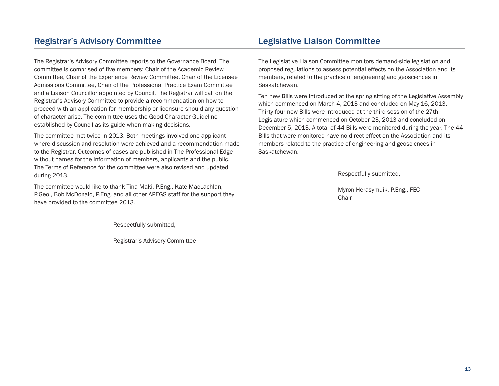### Registrar's Advisory Committee

The Registrar's Advisory Committee reports to the Governance Board. The committee is comprised of five members: Chair of the Academic Review Committee, Chair of the Experience Review Committee, Chair of the Licensee Admissions Committee, Chair of the Professional Practice Exam Committee and a Liaison Councillor appointed by Council. The Registrar will call on the Registrar's Advisory Committee to provide a recommendation on how to proceed with an application for membership or licensure should any question of character arise. The committee uses the Good Character Guideline established by Council as its guide when making decisions.

The committee met twice in 2013. Both meetings involved one applicant where discussion and resolution were achieved and a recommendation made to the Registrar. Outcomes of cases are published in The Professional Edge without names for the information of members, applicants and the public. The Terms of Reference for the committee were also revised and updated during 2013.

The committee would like to thank Tina Maki, P.Eng., Kate MacLachlan, P.Geo., Bob McDonald, P.Eng. and all other APEGS staff for the support they have provided to the committee 2013.

Respectfully submitted,

Registrar's Advisory Committee

### Legislative Liaison Committee

The Legislative Liaison Committee monitors demand-side legislation and proposed regulations to assess potential effects on the Association and its members, related to the practice of engineering and geosciences in Saskatchewan.

Ten new Bills were introduced at the spring sitting of the Legislative Assembly which commenced on March 4, 2013 and concluded on May 16, 2013. Thirty-four new Bills were introduced at the third session of the 27th Legislature which commenced on October 23, 2013 and concluded on December 5, 2013. A total of 44 Bills were monitored during the year. The 44 Bills that were monitored have no direct effect on the Association and its members related to the practice of engineering and geosciences in Saskatchewan.

Respectfully submitted,

Myron Herasymuik, P.Eng., FEC Chair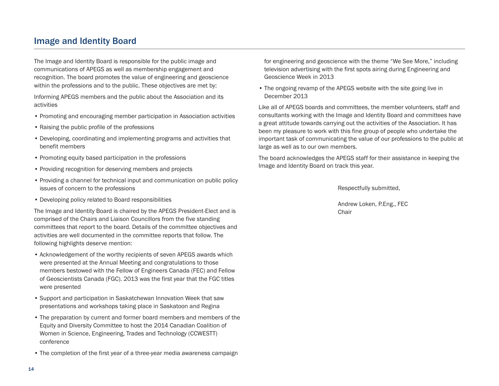### Image and Identity Board

The Image and Identity Board is responsible for the public image and communications of APEGS as well as membership engagement and recognition. The board promotes the value of engineering and geoscience within the professions and to the public. These objectives are met by:

Informing APEGS members and the public about the Association and its activities

- Promoting and encouraging member participation in Association activities
- Raising the public profile of the professions
- Developing, coordinating and implementing programs and activities that benefit members
- Promoting equity based participation in the professions
- Providing recognition for deserving members and projects
- Providing a channel for technical input and communication on public policy issues of concern to the professions
- Developing policy related to Board responsibilities

The Image and Identity Board is chaired by the APEGS President-Elect and is comprised of the Chairs and Liaison Councillors from the five standing committees that report to the board. Details of the committee objectives and activities are well documented in the committee reports that follow. The following highlights deserve mention:

- Acknowledgement of the worthy recipients of seven APEGS awards which were presented at the Annual Meeting and congratulations to those members bestowed with the Fellow of Engineers Canada (FEC) and Fellow of Geoscientists Canada (FGC). 2013 was the first year that the FGC titles were presented
- Support and participation in Saskatchewan Innovation Week that saw presentations and workshops taking place in Saskatoon and Regina
- The preparation by current and former board members and members of the Equity and Diversity Committee to host the 2014 Canadian Coalition of Women in Science, Engineering, Trades and Technology (CCWESTT) conference
- The completion of the first year of a three-year media awareness campaign

for engineering and geoscience with the theme "We See More," including television advertising with the first spots airing during Engineering and Geoscience Week in 2013

• The ongoing revamp of the APEGS website with the site going live in December 2013

Like all of APEGS boards and committees, the member volunteers, staff and consultants working with the Image and Identity Board and committees have a great attitude towards carrying out the activities of the Association. It has been my pleasure to work with this fine group of people who undertake the important task of communicating the value of our professions to the public at large as well as to our own members.

The board acknowledges the APEGS staff for their assistance in keeping the Image and Identity Board on track this year.

Respectfully submitted,

Andrew Loken, P.Eng., FEC **Chair**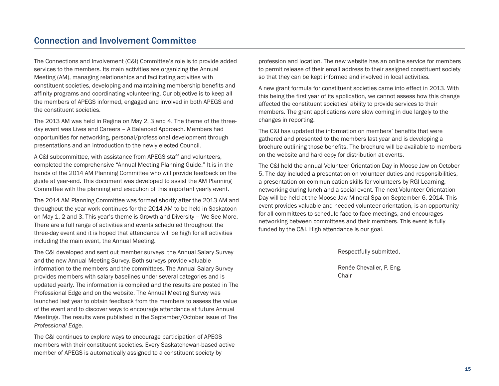The Connections and Involvement (C&I) Committee's role is to provide added services to the members. Its main activities are organizing the Annual Meeting (AM), managing relationships and facilitating activities with constituent societies, developing and maintaining membership benefits and affinity programs and coordinating volunteering. Our objective is to keep all the members of APEGS informed, engaged and involved in both APEGS and the constituent societies.

The 2013 AM was held in Regina on May 2, 3 and 4. The theme of the threeday event was Lives and Careers – A Balanced Approach. Members had opportunities for networking, personal/professional development through presentations and an introduction to the newly elected Council.

A C&I subcommittee, with assistance from APEGS staff and volunteers, completed the comprehensive "Annual Meeting Planning Guide." It is in the hands of the 2014 AM Planning Committee who will provide feedback on the guide at year-end. This document was developed to assist the AM Planning Committee with the planning and execution of this important yearly event.

The 2014 AM Planning Committee was formed shortly after the 2013 AM and throughout the year work continues for the 2014 AM to be held in Saskatoon on May 1, 2 and 3. This year's theme is Growth and Diversity – We See More. There are a full range of activities and events scheduled throughout the three-day event and it is hoped that attendance will be high for all activities including the main event, the Annual Meeting.

The C&I developed and sent out member surveys, the Annual Salary Survey and the new Annual Meeting Survey. Both surveys provide valuable information to the members and the committees. The Annual Salary Survey provides members with salary baselines under several categories and is updated yearly. The information is compiled and the results are posted in The Professional Edge and on the website. The Annual Meeting Survey was launched last year to obtain feedback from the members to assess the value of the event and to discover ways to encourage attendance at future Annual Meetings. The results were published in the September/October issue of T*he Professional Edge.*

The C&I continues to explore ways to encourage participation of APEGS members with their constituent societies. Every Saskatchewan-based active member of APEGS is automatically assigned to a constituent society by

profession and location. The new website has an online service for members to permit release of their email address to their assigned constituent society so that they can be kept informed and involved in local activities.

A new grant formula for constituent societies came into effect in 2013. With this being the first year of its application, we cannot assess how this change affected the constituent societies' ability to provide services to their members. The grant applications were slow coming in due largely to the changes in reporting.

The C&I has updated the information on members' benefits that were gathered and presented to the members last year and is developing a brochure outlining those benefits. The brochure will be available to members on the website and hard copy for distribution at events.

The C&I held the annual Volunteer Orientation Day in Moose Jaw on October 5. The day included a presentation on volunteer duties and responsibilities, a presentation on communication skills for volunteers by RGI Learning, networking during lunch and a social event. The next Volunteer Orientation Day will be held at the Moose Jaw Mineral Spa on September 6, 2014. This event provides valuable and needed volunteer orientation, is an opportunity for all committees to schedule face-to-face meetings, and encourages networking between committees and their members. This event is fully funded by the C&I. High attendance is our goal.

Respectfully submitted,

Renée Chevalier, P. Eng. Chair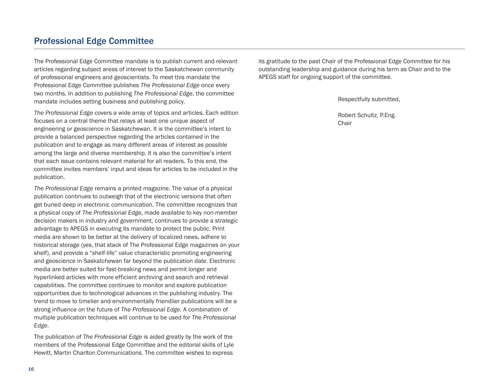### Professional Edge Committee

The Professional Edge Committee mandate is to publish current and relevant articles regarding subject areas of interest to the Saskatchewan community of professional engineers and geoscientists. To meet this mandate the Professional Edge Committee publishes *The Professional Edge* once every two months. In addition to publishing *The Professional Edge*, the committee mandate includes setting business and publishing policy.

*The Professional Edge* covers a wide array of topics and articles. Each edition focuses on a central theme that relays at least one unique aspect of engineering or geoscience in Saskatchewan. It is the committee's intent to provide a balanced perspective regarding the articles contained in the publication and to engage as many different areas of interest as possible among the large and diverse membership. It is also the committee's intent that each issue contains relevant material for all readers. To this end, the committee invites members' input and ideas for articles to be included in the publication.

*The Professional Edge* remains a printed magazine. The value of a physical publication continues to outweigh that of the electronic versions that often get buried deep in electronic communication. The committee recognizes that a physical copy of *The Professional Edge*, made available to key non-member decision makers in industry and government, continues to provide a strategic advantage to APEGS in executing its mandate to protect the public. Print media are shown to be better at the delivery of localized news, adhere to historical storage (yes, that stack of The Professional Edge magazines on your shelf), and provide a "shelf-life" value characteristic promoting engineering and geoscience in Saskatchewan far beyond the publication date. Electronic media are better suited for fast-breaking news and permit longer and hyperlinked articles with more efficient archiving and search and retrieval capabilities. The committee continues to monitor and explore publication opportunities due to technological advances in the publishing industry. The trend to move to timelier and environmentally friendlier publications will be a strong influence on the future of *The Professional Edge*. A combination of multiple publication techniques will continue to be used for *The Professional Edge*.

The publication of *The Professional Edge* is aided greatly by the work of the members of the Professional Edge Committee and the editorial skills of Lyle Hewitt, Martin Charlton Communications. The committee wishes to express

its gratitude to the past Chair of the Professional Edge Committee for his outstanding leadership and guidance during his term as Chair and to the APEGS staff for ongoing support of the committee.

Respectfully submitted,

Robert Schultz, P.Eng. Chair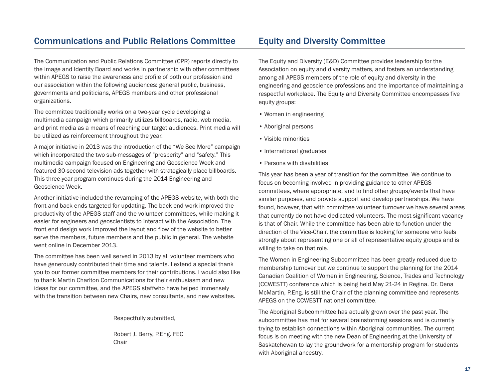### Communications and Public Relations Committee

The Communication and Public Relations Committee (CPR) reports directly to the Image and Identity Board and works in partnership with other committees within APEGS to raise the awareness and profile of both our profession and our association within the following audiences: general public, business, governments and politicians, APEGS members and other professional organizations.

The committee traditionally works on a two-year cycle developing a multimedia campaign which primarily utilizes billboards, radio, web media, and print media as a means of reaching our target audiences. Print media will be utilized as reinforcement throughout the year.

A major initiative in 2013 was the introduction of the "We See More" campaign which incorporated the two sub-messages of "prosperity" and "safety." This multimedia campaign focused on Engineering and Geoscience Week and featured 30-second television ads together with strategically place billboards. This three-year program continues during the 2014 Engineering and Geoscience Week.

Another initiative included the revamping of the APEGS website, with both the front and back ends targeted for updating. The back end work improved the productivity of the APEGS staff and the volunteer committees, while making it easier for engineers and geoscientists to interact with the Association. The front end design work improved the layout and flow of the website to better serve the members, future members and the public in general. The website went online in December 2013.

The committee has been well served in 2013 by all volunteer members who have generously contributed their time and talents. I extend a special thank you to our former committee members for their contributions. I would also like to thank Martin Charlton Communications for their enthusiasm and new ideas for our committee, and the APEGS staffwho have helped immensely with the transition between new Chairs, new consultants, and new websites.

Respectfully submitted,

Robert J. Berry, P.Eng. FEC Chair

### Equity and Diversity Committee

The Equity and Diversity (E&D) Committee provides leadership for the Association on equity and diversity matters, and fosters an understanding among all APEGS members of the role of equity and diversity in the engineering and geoscience professions and the importance of maintaining a respectful workplace. The Equity and Diversity Committee encompasses five equity groups:

- Women in engineering
- Aboriginal persons
- Visible minorities
- International graduates
- Persons with disabilities

This year has been a year of transition for the committee. We continue to focus on becoming involved in providing guidance to other APEGS committees, where appropriate, and to find other groups/events that have similar purposes, and provide support and develop partnerships. We have found, however, that with committee volunteer turnover we have several areas that currently do not have dedicated volunteers. The most significant vacancy is that of Chair. While the committee has been able to function under the direction of the Vice-Chair, the committee is looking for someone who feels strongly about representing one or all of representative equity groups and is willing to take on that role.

The Women in Engineering Subcommittee has been greatly reduced due to membership turnover but we continue to support the planning for the 2014 Canadian Coalition of Women in Engineering, Science, Trades and Technology (CCWESTT) conference which is being held May 21-24 in Regina. Dr. Dena McMartin, P.Eng. is still the Chair of the planning committee and represents APEGS on the CCWESTT national committee.

The Aboriginal Subcommittee has actually grown over the past year. The subcommittee has met for several brainstorming sessions and is currently trying to establish connections within Aboriginal communities. The current focus is on meeting with the new Dean of Engineering at the University of Saskatchewan to lay the groundwork for a mentorship program for students with Aboriginal ancestry.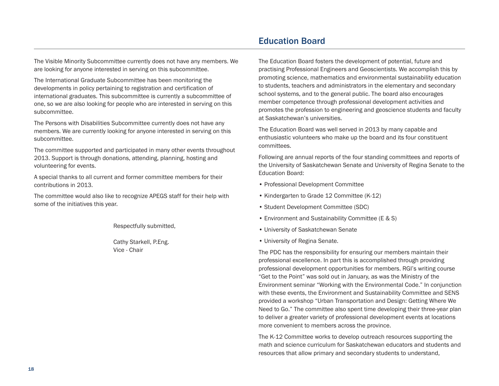The Visible Minority Subcommittee currently does not have any members. We are looking for anyone interested in serving on this subcommittee.

The International Graduate Subcommittee has been monitoring the developments in policy pertaining to registration and certification of international graduates. This subcommittee is currently a subcommittee of one, so we are also looking for people who are interested in serving on this subcommittee.

The Persons with Disabilities Subcommittee currently does not have any members. We are currently looking for anyone interested in serving on this subcommittee.

The committee supported and participated in many other events throughout 2013. Support is through donations, attending, planning, hosting and volunteering for events.

A special thanks to all current and former committee members for their contributions in 2013.

The committee would also like to recognize APEGS staff for their help with some of the initiatives this year.

Respectfully submitted,

Cathy Starkell, P.Eng. Vice - Chair

### Education Board

The Education Board fosters the development of potential, future and practising Professional Engineers and Geoscientists. We accomplish this by promoting science, mathematics and environmental sustainability education to students, teachers and administrators in the elementary and secondary school systems, and to the general public. The board also encourages member competence through professional development activities and promotes the profession to engineering and geoscience students and faculty at Saskatchewan's universities.

The Education Board was well served in 2013 by many capable and enthusiastic volunteers who make up the board and its four constituent committees.

Following are annual reports of the four standing committees and reports of the University of Saskatchewan Senate and University of Regina Senate to the Education Board:

- Professional Development Committee
- Kindergarten to Grade 12 Committee (K-12)
- Student Development Committee (SDC)
- Environment and Sustainability Committee (E & S)
- University of Saskatchewan Senate
- University of Regina Senate.

The PDC has the responsibility for ensuring our members maintain their professional excellence. In part this is accomplished through providing professional development opportunities for members. RGI's writing course "Get to the Point" was sold out in January, as was the Ministry of the Environment seminar "Working with the Environmental Code." In conjunction with these events, the Environment and Sustainability Committee and SENS provided a workshop "Urban Transportation and Design: Getting Where We Need to Go." The committee also spent time developing their three-year plan to deliver a greater variety of professional development events at locations more convenient to members across the province.

The K-12 Committee works to develop outreach resources supporting the math and science curriculum for Saskatchewan educators and students and resources that allow primary and secondary students to understand,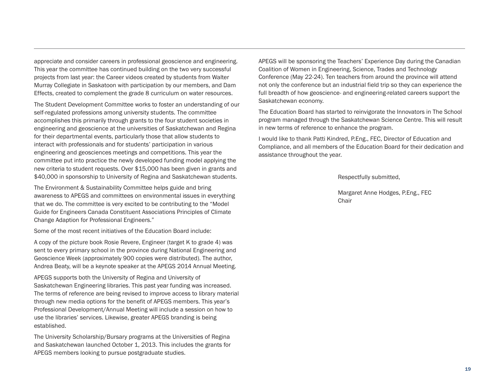appreciate and consider careers in professional geoscience and engineering. This year the committee has continued building on the two very successful projects from last year: the Career videos created by students from Walter Murray Collegiate in Saskatoon with participation by our members, and Dam Effects, created to complement the grade 8 curriculum on water resources.

The Student Development Committee works to foster an understanding of our self-regulated professions among university students. The committee accomplishes this primarily through grants to the four student societies in engineering and geoscience at the universities of Saskatchewan and Regina for their departmental events, particularly those that allow students to interact with professionals and for students' participation in various engineering and geosciences meetings and competitions. This year the committee put into practice the newly developed funding model applying the new criteria to student requests. Over \$15,000 has been given in grants and \$40,000 in sponsorship to University of Regina and Saskatchewan students.

The Environment & Sustainability Committee helps guide and bring awareness to APEGS and committees on environmental issues in everything that we do. The committee is very excited to be contributing to the "Model Guide for Engineers Canada Constituent Associations Principles of Climate Change Adaption for Professional Engineers."

Some of the most recent initiatives of the Education Board include:

A copy of the picture book Rosie Revere, Engineer (target K to grade 4) was sent to every primary school in the province during National Engineering and Geoscience Week (approximately 900 copies were distributed). The author, Andrea Beaty, will be a keynote speaker at the APEGS 2014 Annual Meeting.

APEGS supports both the University of Regina and University of Saskatchewan Engineering libraries. This past year funding was increased. The terms of reference are being revised to improve access to library material through new media options for the benefit of APEGS members. This year's Professional Development/Annual Meeting will include a session on how to use the libraries' services. Likewise, greater APEGS branding is being established.

The University Scholarship/Bursary programs at the Universities of Regina and Saskatchewan launched October 1, 2013. This includes the grants for APEGS members looking to pursue postgraduate studies.

APEGS will be sponsoring the Teachers' Experience Day during the Canadian Coalition of Women in Engineering, Science, Trades and Technology Conference (May 22-24). Ten teachers from around the province will attend not only the conference but an industrial field trip so they can experience the full breadth of how geoscience- and engineering-related careers support the Saskatchewan economy.

The Education Board has started to reinvigorate the Innovators in The School program managed through the Saskatchewan Science Centre. This will result in new terms of reference to enhance the program.

I would like to thank Patti Kindred, P.Eng., FEC, Director of Education and Compliance, and all members of the Education Board for their dedication and assistance throughout the year.

Respectfully submitted,

Margaret Anne Hodges, P.Eng., FEC Chair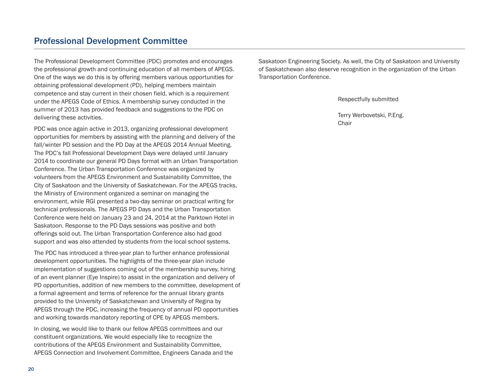### Professional Development Committee

The Professional Development Committee (PDC) promotes and encourages the professional growth and continuing education of all members of APEGS. One of the ways we do this is by offering members various opportunities for obtaining professional development (PD), helping members maintain competence and stay current in their chosen field, which is a requirement under the APEGS Code of Ethics. A membership survey conducted in the summer of 2013 has provided feedback and suggestions to the PDC on delivering these activities.

PDC was once again active in 2013, organizing professional development opportunities for members by assisting with the planning and delivery of the fall/winter PD session and the PD Day at the APEGS 2014 Annual Meeting. The PDC's fall Professional Development Days were delayed until January 2014 to coordinate our general PD Days format with an Urban Transportation Conference. The Urban Transportation Conference was organized by volunteers from the APEGS Environment and Sustainability Committee, the City of Saskatoon and the University of Saskatchewan. For the APEGS tracks, the Ministry of Environment organized a seminar on managing the environment, while RGI presented a two-day seminar on practical writing for technical professionals. The APEGS PD Days and the Urban Transportation Conference were held on January 23 and 24, 2014 at the Parktown Hotel in Saskatoon. Response to the PD Days sessions was positive and both offerings sold out. The Urban Transportation Conference also had good support and was also attended by students from the local school systems.

The PDC has introduced a three-year plan to further enhance professional development opportunities. The highlights of the three-year plan include implementation of suggestions coming out of the membership survey, hiring of an event planner (Eye Inspire) to assist in the organization and delivery of PD opportunities, addition of new members to the committee, development of a formal agreement and terms of reference for the annual library grants provided to the University of Saskatchewan and University of Regina by APEGS through the PDC, increasing the frequency of annual PD opportunities and working towards mandatory reporting of CPE by APEGS members.

In closing, we would like to thank our fellow APEGS committees and our constituent organizations. We would especially like to recognize the contributions of the APEGS Environment and Sustainability Committee, APEGS Connection and Involvement Committee, Engineers Canada and the Saskatoon Engineering Society. As well, the City of Saskatoon and University of Saskatchewan also deserve recognition in the organization of the Urban Transportation Conference.

Respectfully submitted

Terry Werbovetski, P.Eng. Chair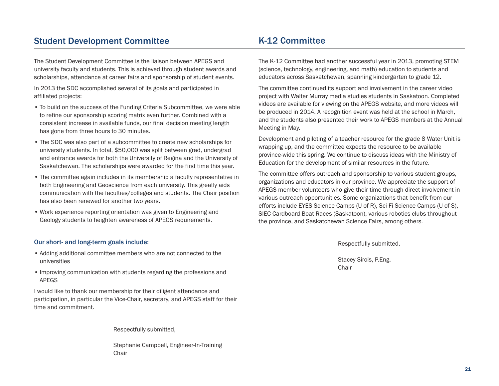### Student Development Committee

The Student Development Committee is the liaison between APEGS and university faculty and students. This is achieved through student awards and scholarships, attendance at career fairs and sponsorship of student events.

In 2013 the SDC accomplished several of its goals and participated in affiliated projects:

- To build on the success of the Funding Criteria Subcommittee, we were able to refine our sponsorship scoring matrix even further. Combined with a consistent increase in available funds, our final decision meeting length has gone from three hours to 30 minutes.
- The SDC was also part of a subcommittee to create new scholarships for university students. In total, \$50,000 was split between grad, undergrad and entrance awards for both the University of Regina and the University of Saskatchewan. The scholarships were awarded for the first time this year.
- The committee again includes in its membership a faculty representative in both Engineering and Geoscience from each university. This greatly aids communication with the faculties/colleges and students. The Chair position has also been renewed for another two years.
- Work experience reporting orientation was given to Engineering and Geology students to heighten awareness of APEGS requirements.

#### Our short- and long-term goals include:

- Adding additional committee members who are not connected to the universities
- Improving communication with students regarding the professions and APEGS

I would like to thank our membership for their diligent attendance and participation, in particular the Vice-Chair, secretary, and APEGS staff for their time and commitment.

Respectfully submitted,

Stephanie Campbell, Engineer-In-Training Chair

### K-12 Committee

The K-12 Committee had another successful year in 2013, promoting STEM (science, technology, engineering, and math) education to students and educators across Saskatchewan, spanning kindergarten to grade 12.

The committee continued its support and involvement in the career video project with Walter Murray media studies students in Saskatoon. Completed videos are available for viewing on the APEGS website, and more videos will be produced in 2014. A recognition event was held at the school in March, and the students also presented their work to APEGS members at the Annual Meeting in May.

Development and piloting of a teacher resource for the grade 8 Water Unit is wrapping up, and the committee expects the resource to be available province-wide this spring. We continue to discuss ideas with the Ministry of Education for the development of similar resources in the future.

The committee offers outreach and sponsorship to various student groups, organizations and educators in our province. We appreciate the support of APEGS member volunteers who give their time through direct involvement in various outreach opportunities. Some organizations that benefit from our efforts include EYES Science Camps (U of R), Sci-Fi Science Camps (U of S), SIEC Cardboard Boat Races (Saskatoon), various robotics clubs throughout the province, and Saskatchewan Science Fairs, among others.

Respectfully submitted,

Stacey Sirois, P.Eng. Chair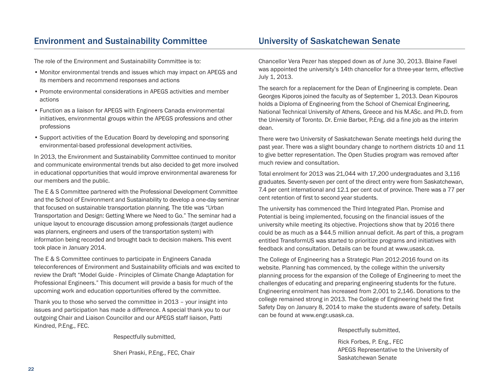### Environment and Sustainability Committee

### University of Saskatchewan Senate

The role of the Environment and Sustainability Committee is to:

- Monitor environmental trends and issues which may impact on APEGS and its members and recommend responses and actions
- Promote environmental considerations in APEGS activities and member actions
- Function as a liaison for APEGS with Engineers Canada environmental initiatives, environmental groups within the APEGS professions and other professions
- Support activities of the Education Board by developing and sponsoring environmental-based professional development activities.

In 2013, the Environment and Sustainability Committee continued to monitor and communicate environmental trends but also decided to get more involved in educational opportunities that would improve environmental awareness for our members and the public.

The E & S Committee partnered with the Professional Development Committee and the School of Environment and Sustainability to develop a one-day seminar that focused on sustainable transportation planning. The title was "Urban Transportation and Design: Getting Where we Need to Go." The seminar had a unique layout to encourage discussion among professionals (target audience was planners, engineers and users of the transportation system) with information being recorded and brought back to decision makers. This event took place in January 2014.

The E & S Committee continues to participate in Engineers Canada teleconferences of Environment and Sustainability officials and was excited to review the Draft "Model Guide - Principles of Climate Change Adaptation for Professional Engineers." This document will provide a basis for much of the upcoming work and education opportunities offered by the committee.

Thank you to those who served the committee in 2013 – your insight into issues and participation has made a difference. A special thank you to our outgoing Chair and Liaison Councillor and our APEGS staff liaison, Patti Kindred, P.Eng., FEC.

Respectfully submitted,

Sheri Praski, P.Eng., FEC, Chair

Chancellor Vera Pezer has stepped down as of June 30, 2013. Blaine Favel was appointed the university's 14th chancellor for a three-year term, effective July 1, 2013.

The search for a replacement for the Dean of Engineering is complete. Dean Georges Kiporos joined the faculty as of September 1, 2013. Dean Kipouros holds a Diploma of Engineering from the School of Chemical Engineering, National Technical University of Athens, Greece and his M.ASc. and Ph.D. from the University of Toronto. Dr. Ernie Barber, P.Eng. did a fine job as the interim dean.

There were two University of Saskatchewan Senate meetings held during the past year. There was a slight boundary change to northern districts 10 and 11 to give better representation. The Open Studies program was removed after much review and consultation.

Total enrolment for 2013 was 21,044 with 17,200 undergraduates and 3,116 graduates. Seventy-seven per cent of the direct entry were from Saskatchewan, 7.4 per cent international and 12.1 per cent out of province. There was a 77 per cent retention of first to second year students.

The university has commenced the Third Integrated Plan. Promise and Potential is being implemented, focusing on the financial issues of the university while meeting its objective. Projections show that by 2016 there could be as much as a \$44.5 million annual deficit. As part of this, a program entitled TransformUS was started to prioritize programs and initiatives with feedback and consultation. Details can be found at www.usask.ca.

The College of Engineering has a Strategic Plan 2012-2016 found on its website. Planning has commenced, by the college within the university planning process for the expansion of the College of Engineering to meet the challenges of educating and preparing engineering students for the future. Engineering enrolment has increased from 2,001 to 2,146. Donations to the college remained strong in 2013. The College of Engineering held the first Safety Day on January 8, 2014 to make the students aware of safety. Details can be found at www.engr.usask.ca.

Respectfully submitted,

Rick Forbes, P. Eng., FEC APEGS Representative to the University of Saskatchewan Senate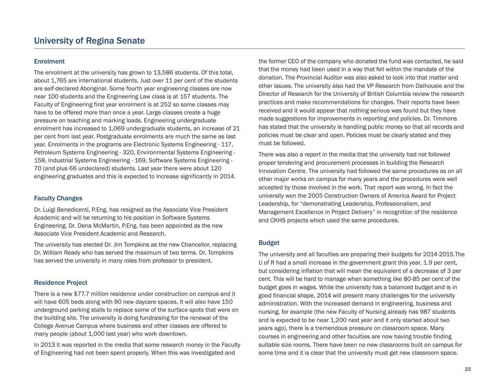#### **Enrolment**

The enrolment at the university has grown to 13,586 students. Of this total, about 1,765 are international students. Just over 11 per cent of the students are self-declared Aboriginal. Some fourth year engineering classes are now near 100 students and the Engineering Law class is at 157 students. The Faculty of Engineering first year enrolment is at 252 so some classes may have to be offered more than once a year. Large classes create a huge pressure on teaching and marking loads. Engineering undergraduate enrolment has increased to 1,069 undergraduate students, an increase of 21 per cent from last year. Postgraduate enrolments are much the same as last year. Enrolments in the programs are Electronic Systems Engineering - 117, Petroleum Systems Engineering - 320, Environmental Systems Engineering - 158, Industrial Systems Engineering - 169, Software Systems Engineering - 70 (and plus 66 undeclared) students. Last year there were about 120 engineering graduates and this is expected to increase significantly in 2014.

#### Faculty Changes

Dr. Luigi Benedicenti, P.Eng. has resigned as the Associate Vice President Academic and will be returning to his position in Software Systems Engineering. Dr. Dena McMartin, P.Eng. has been appointed as the new Associate Vice President Academic and Research.

The university has elected Dr. Jim Tompkins as the new Chancellor, replacing Dr. William Ready who has served the maximum of two terms. Dr. Tompkins has served the university in many roles from professor to president.

#### Residence Project

There is a new \$77.7 million residence under construction on campus and it will have 605 beds along with 90 new daycare spaces. It will also have 150 underground parking stalls to replace some of the surface spots that were on the building site. The university is doing fundraising for the renewal of the College Avenue Campus where business and other classes are offered to many people (about 1,000 last year) who work downtown.

In 2013 it was reported in the media that some research money in the Faculty of Engineering had not been spent properly. When this was investigated and

the former CEO of the company who donated the fund was contacted, he said that the money had been used in a way that fell within the mandate of the donation. The Provincial Auditor was also asked to look into that matter and other issues. The university also had the VP Research from Dalhousie and the Director of Research for the University of British Columbia review the research practices and make recommendations for changes. Their reports have been received and it would appear that nothing serious was found but they have made suggestions for improvements in reporting and policies. Dr. Timmons has stated that the university is handling public money so that all records and policies must be clear and open. Policies must be clearly stated and they must be followed.

There was also a report in the media that the university had not followed proper tendering and procurement processes in building the Research Innovation Centre. The university had followed the same procedures as on all other major works on campus for many years and the procedures were well accepted by those involved in the work. That report was wrong. In fact the university won the 2005 Construction Owners of America Award for Project Leadership, for "demonstrating Leadership, Professionalism, and Management Excellence in Project Delivery" in recognition of the residence and CKHS projects which used the same procedures.

#### Budget

The university and all faculties are preparing their budgets for 2014-2015.The U of R had a small increase in the government grant this year, 1.9 per cent, but considering inflation that will mean the equivalent of a decrease of 3 per cent. This will be hard to manage when something like 80-85 per cent of the budget goes in wages. While the university has a balanced budget and is in good financial shape, 2014 will present many challenges for the university administration. With the increased demand in engineering, business and nursing, for example (the new Faculty of Nursing already has 987 students and is expected to be near 1,200 next year and it only started about two years ago), there is a tremendous pressure on classroom space. Many courses in engineering and other faculties are now having trouble finding suitable size rooms. There have been no new classrooms built on campus for some time and it is clear that the university must get new classroom space.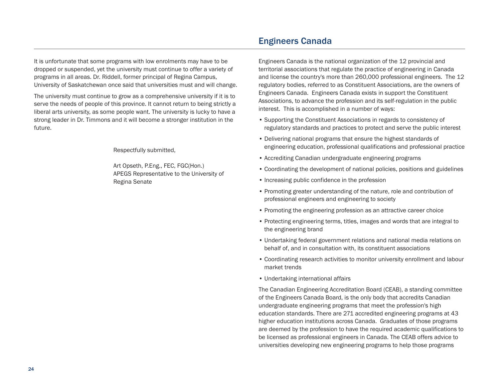It is unfortunate that some programs with low enrolments may have to be dropped or suspended, yet the university must continue to offer a variety of programs in all areas. Dr. Riddell, former principal of Regina Campus, University of Saskatchewan once said that universities must and will change.

The university must continue to grow as a comprehensive university if it is to serve the needs of people of this province. It cannot return to being strictly a liberal arts university, as some people want. The university is lucky to have a strong leader in Dr. Timmons and it will become a stronger institution in the future.

Respectfully submitted,

Art Opseth, P.Eng., FEC, FGC(Hon.) APEGS Representative to the University of Regina Senate

### Engineers Canada

Engineers Canada is the national organization of the 12 provincial and territorial associations that regulate the practice of engineering in Canada and license the country's more than 260,000 professional engineers. The 12 regulatory bodies, referred to as Constituent Associations, are the owners of Engineers Canada. Engineers Canada exists in support the Constituent Associations, to advance the profession and its self-regulation in the public interest. This is accomplished in a number of ways:

- Supporting the Constituent Associations in regards to consistency of regulatory standards and practices to protect and serve the public interest
- Delivering national programs that ensure the highest standards of engineering education, professional qualifications and professional practice
- Accrediting Canadian undergraduate engineering programs
- Coordinating the development of national policies, positions and guidelines
- Increasing public confidence in the profession
- Promoting greater understanding of the nature, role and contribution of professional engineers and engineering to society
- Promoting the engineering profession as an attractive career choice
- Protecting engineering terms, titles, images and words that are integral to the engineering brand
- Undertaking federal government relations and national media relations on behalf of, and in consultation with, its constituent associations
- Coordinating research activities to monitor university enrollment and labour market trends
- Undertaking international affairs

The Canadian Engineering Accreditation Board (CEAB), a standing committee of the Engineers Canada Board, is the only body that accredits Canadian undergraduate engineering programs that meet the profession's high education standards. There are 271 accredited engineering programs at 43 higher education institutions across Canada. Graduates of those programs are deemed by the profession to have the required academic qualifications to be licensed as professional engineers in Canada. The CEAB offers advice to universities developing new engineering programs to help those programs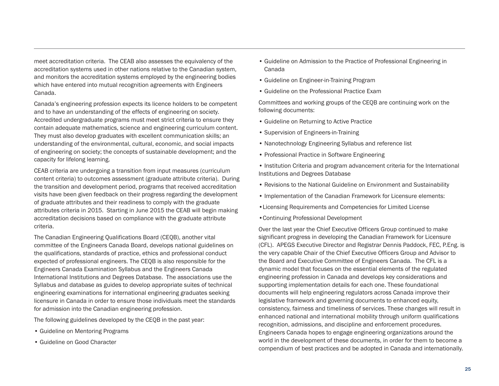meet accreditation criteria. The CEAB also assesses the equivalency of the accreditation systems used in other nations relative to the Canadian system, and monitors the accreditation systems employed by the engineering bodies which have entered into mutual recognition agreements with Engineers Canada.

Canada's engineering profession expects its licence holders to be competent and to have an understanding of the effects of engineering on society. Accredited undergraduate programs must meet strict criteria to ensure they contain adequate mathematics, science and engineering curriculum content. They must also develop graduates with excellent communication skills; an understanding of the environmental, cultural, economic, and social impacts of engineering on society; the concepts of sustainable development; and the capacity for lifelong learning.

CEAB criteria are undergoing a transition from input measures (curriculum content criteria) to outcomes assessment (graduate attribute criteria). During the transition and development period, programs that received accreditation visits have been given feedback on their progress regarding the development of graduate attributes and their readiness to comply with the graduate attributes criteria in 2015. Starting in June 2015 the CEAB will begin making accreditation decisions based on compliance with the graduate attribute criteria.

The Canadian Engineering Qualifications Board (CEQB), another vital committee of the Engineers Canada Board, develops national guidelines on the qualifications, standards of practice, ethics and professional conduct expected of professional engineers. The CEQB is also responsible for the Engineers Canada Examination Syllabus and the Engineers Canada International Institutions and Degrees Database. The associations use the Syllabus and database as guides to develop appropriate suites of technical engineering examinations for international engineering graduates seeking licensure in Canada in order to ensure those individuals meet the standards for admission into the Canadian engineering profession.

The following guidelines developed by the CEQB in the past year:

- Guideline on Mentoring Programs
- Guideline on Good Character
- Guideline on Admission to the Practice of Professional Engineering in Canada
- Guideline on Engineer-in-Training Program
- Guideline on the Professional Practice Exam

Committees and working groups of the CEQB are continuing work on the following documents:

- Guideline on Returning to Active Practice
- Supervision of Engineers-in-Training
- Nanotechnology Engineering Syllabus and reference list
- Professional Practice in Software Engineering
- Institution Criteria and program advancement criteria for the International Institutions and Degrees Database
- Revisions to the National Guideline on Environment and Sustainability
- Implementation of the Canadian Framework for Licensure elements:
- •Licensing Requirements and Competencies for Limited License
- •Continuing Professional Development

Over the last year the Chief Executive Officers Group continued to make significant progress in developing the Canadian Framework for Licensure (CFL). APEGS Executive Director and Registrar Dennis Paddock, FEC, P.Eng. is the very capable Chair of the Chief Executive Officers Group and Advisor to the Board and Executive Committee of Engineers Canada. The CFL is a dynamic model that focuses on the essential elements of the regulated engineering profession in Canada and develops key considerations and supporting implementation details for each one. These foundational documents will help engineering regulators across Canada improve their legislative framework and governing documents to enhanced equity, consistency, fairness and timeliness of services. These changes will result in enhanced national and international mobility through uniform qualifications recognition, admissions, and discipline and enforcement procedures. Engineers Canada hopes to engage engineering organizations around the world in the development of these documents, in order for them to become a compendium of best practices and be adopted in Canada and internationally.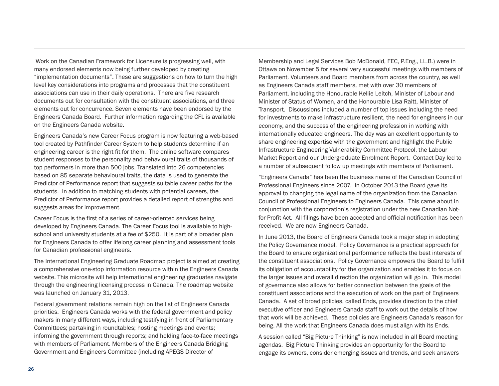Work on the Canadian Framework for Licensure is progressing well, with many endorsed elements now being further developed by creating "implementation documents". These are suggestions on how to turn the high level key considerations into programs and processes that the constituent associations can use in their daily operations. There are five research documents out for consultation with the constituent associations, and three elements out for concurrence. Seven elements have been endorsed by the Engineers Canada Board. Further information regarding the CFL is available on the Engineers Canada website.

Engineers Canada's new Career Focus program is now featuring a web-based tool created by Pathfinder Career System to help students determine if an engineering career is the right fit for them. The online software compares student responses to the personality and behavioural traits of thousands of top performers in more than 500 jobs. Translated into 26 competencies based on 85 separate behavioural traits, the data is used to generate the Predictor of Performance report that suggests suitable career paths for the students. In addition to matching students with potential careers, the Predictor of Performance report provides a detailed report of strengths and suggests areas for improvement.

Career Focus is the first of a series of career-oriented services being developed by Engineers Canada. The Career Focus tool is available to highschool and university students at a fee of \$250. It is part of a broader plan for Engineers Canada to offer lifelong career planning and assessment tools for Canadian professional engineers.

The International Engineering Graduate Roadmap project is aimed at creating a comprehensive one-stop information resource within the Engineers Canada website. This microsite will help international engineering graduates navigate through the engineering licensing process in Canada. The roadmap website was launched on January 31, 2013.

Federal government relations remain high on the list of Engineers Canada priorities. Engineers Canada works with the federal government and policy makers in many different ways, including testifying in front of Parliamentary Committees; partaking in roundtables; hosting meetings and events; informing the government through reports; and holding face-to-face meetings with members of Parliament. Members of the Engineers Canada Bridging Government and Engineers Committee (including APEGS Director of

Membership and Legal Services Bob McDonald, FEC, P.Eng., LL.B.) were in Ottawa on November 5 for several very successful meetings with members of Parliament. Volunteers and Board members from across the country, as well as Engineers Canada staff members, met with over 30 members of Parliament, including the Honourable Kellie Leitch, Minister of Labour and Minister of Status of Women, and the Honourable Lisa Raitt, Minister of Transport. Discussions included a number of top issues including the need for investments to make infrastructure resilient, the need for engineers in our economy, and the success of the engineering profession in working with internationally educated engineers. The day was an excellent opportunity to share engineering expertise with the government and highlight the Public Infrastructure Engineering Vulnerability Committee Protocol, the Labour Market Report and our Undergraduate Enrolment Report. Contact Day led to a number of subsequent follow up meetings with members of Parliament.

"Engineers Canada" has been the business name of the Canadian Council of Professional Engineers since 2007. In October 2013 the Board gave its approval to changing the legal name of the organization from the Canadian Council of Professional Engineers to Engineers Canada. This came about in conjunction with the corporation's registration under the new Canadian Notfor-Profit Act. All filings have been accepted and official notification has been received. We are now Engineers Canada.

In June 2013, the Board of Engineers Canada took a major step in adopting the Policy Governance model. Policy Governance is a practical approach for the Board to ensure organizational performance reflects the best interests of the constituent associations. Policy Governance empowers the Board to fulfill its obligation of accountability for the organization and enables it to focus on the larger issues and overall direction the organization will go in. This model of governance also allows for better connection between the goals of the constituent associations and the execution of work on the part of Engineers Canada. A set of broad policies, called Ends, provides direction to the chief executive officer and Engineers Canada staff to work out the details of how that work will be achieved. These policies are Engineers Canada's reason for being. All the work that Engineers Canada does must align with its Ends.

A session called "Big Picture Thinking" is now included in all Board meeting agendas. Big Picture Thinking provides an opportunity for the Board to engage its owners, consider emerging issues and trends, and seek answers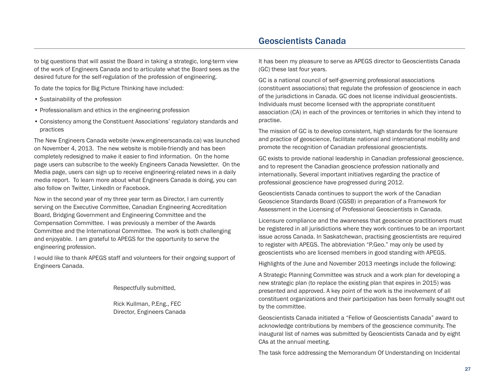to big questions that will assist the Board in taking a strategic, long-term view of the work of Engineers Canada and to articulate what the Board sees as the desired future for the self-regulation of the profession of engineering.

To date the topics for Big Picture Thinking have included:

- Sustainability of the profession
- Professionalism and ethics in the engineering profession
- Consistency among the Constituent Associations' regulatory standards and practices

The New Engineers Canada website (www.engineerscanada.ca) was launched on November 4, 2013. The new website is mobile-friendly and has been completely redesigned to make it easier to find information. On the home page users can subscribe to the weekly Engineers Canada Newsletter. On the Media page, users can sign up to receive engineering-related news in a daily media report. To learn more about what Engineers Canada is doing, you can also follow on Twitter, LinkedIn or Facebook.

Now in the second year of my three year term as Director, I am currently serving on the Executive Committee, Canadian Engineering Accreditation Board, Bridging Government and Engineering Committee and the Compensation Committee. I was previously a member of the Awards Committee and the International Committee. The work is both challenging and enjoyable. I am grateful to APEGS for the opportunity to serve the engineering profession.

I would like to thank APEGS staff and volunteers for their ongoing support of Engineers Canada.

Respectfully submitted,

Rick Kullman, P.Eng., FEC Director, Engineers Canada

### Geoscientists Canada

It has been my pleasure to serve as APEGS director to Geoscientists Canada (GC) these last four years.

GC is a national council of self-governing professional associations (constituent associations) that regulate the profession of geoscience in each of the jurisdictions in Canada. GC does not license individual geoscientists. Individuals must become licensed with the appropriate constituent association (CA) in each of the provinces or territories in which they intend to practise.

The mission of GC is to develop consistent, high standards for the licensure and practice of geoscience, facilitate national and international mobility and promote the recognition of Canadian professional geoscientists.

GC exists to provide national leadership in Canadian professional geoscience, and to represent the Canadian geoscience profession nationally and internationally. Several important initiatives regarding the practice of professional geoscience have progressed during 2012.

Geoscientists Canada continues to support the work of the Canadian Geoscience Standards Board (CGSB) in preparation of a Framework for Assessment in the Licensing of Professional Geoscientists in Canada.

Licensure compliance and the awareness that geoscience practitioners must be registered in all jurisdictions where they work continues to be an important issue across Canada. In Saskatchewan, practising geoscientists are required to register with APEGS. The abbreviation "P.Geo." may only be used by geoscientists who are licensed members in good standing with APEGS.

Highlights of the June and November 2013 meetings include the following:

A Strategic Planning Committee was struck and a work plan for developing a new strategic plan (to replace the existing plan that expires in 2015) was presented and approved. A key point of the work is the involvement of all constituent organizations and their participation has been formally sought out by the committee.

Geoscientists Canada initiated a "Fellow of Geoscientists Canada" award to acknowledge contributions by members of the geoscience community. The inaugural list of names was submitted by Geoscientists Canada and by eight CAs at the annual meeting.

The task force addressing the Memorandum Of Understanding on Incidental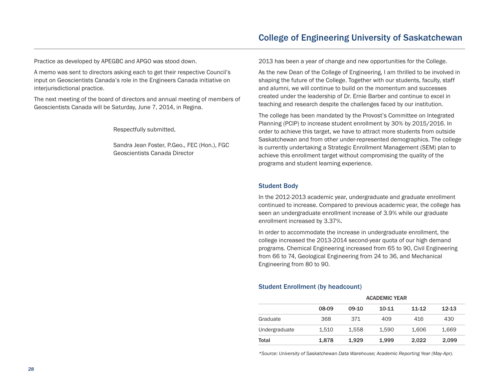Practice as developed by APEGBC and APGO was stood down.

A memo was sent to directors asking each to get their respective Council's input on Geoscientists Canada's role in the Engineers Canada initiative on interjurisdictional practice.

The next meeting of the board of directors and annual meeting of members of Geoscientists Canada will be Saturday, June 7, 2014, in Regina.

Respectfully submitted,

Sandra Jean Foster, P.Geo., FEC (Hon.), FGC Geoscientists Canada Director

2013 has been a year of change and new opportunities for the College.

As the new Dean of the College of Engineering, I am thrilled to be involved in shaping the future of the College. Together with our students, faculty, staff and alumni, we will continue to build on the momentum and successes created under the leadership of Dr. Ernie Barber and continue to excel in teaching and research despite the challenges faced by our institution.

The college has been mandated by the Provost's Committee on Integrated Planning (PCIP) to increase student enrollment by 30% by 2015/2016. In order to achieve this target, we have to attract more students from outside Saskatchewan and from other under-represented demographics. The college is currently undertaking a Strategic Enrollment Management (SEM) plan to achieve this enrollment target without compromising the quality of the programs and student learning experience.

#### Student Body

In the 2012-2013 academic year, undergraduate and graduate enrollment continued to increase. Compared to previous academic year, the college has seen an undergraduate enrollment increase of 3.9% while our graduate enrollment increased by 3.37%.

In order to accommodate the increase in undergraduate enrollment, the college increased the 2013-2014 second-year quota of our high demand programs. Chemical Engineering increased from 65 to 90, Civil Engineering from 66 to 74, Geological Engineering from 24 to 36, and Mechanical Engineering from 80 to 90.

#### Student Enrollment (by headcount)

|               | <b>ACADEMIC YEAR</b>                      |       |           |       |           |  |
|---------------|-------------------------------------------|-------|-----------|-------|-----------|--|
|               | 08-09                                     | 09-10 | $10 - 11$ | 11-12 | $12 - 13$ |  |
| Graduate      | 368                                       | 371   | 409       | 416   | 430       |  |
| Undergraduate | 1,510                                     | 1.558 | 1.590     | 1.606 | 1,669     |  |
| Total         | 1,878<br>1,999<br>2.022<br>1.929<br>2,099 |       |           |       |           |  |

*\*Source: University of Saskatchewan Data Warehouse; Academic Reporting Year (May-Apr).*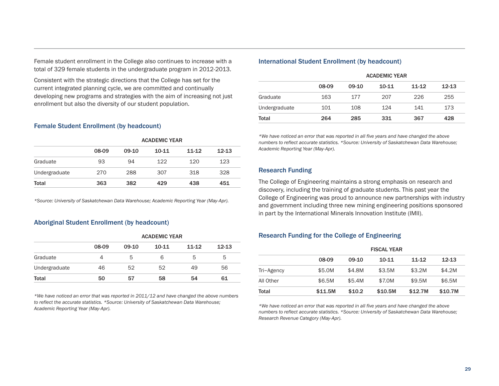Consistent with the strategic directions that the College has set for the current integrated planning cycle, we are committed and continually developing new programs and strategies with the aim of increasing not just enrollment but also the diversity of our student population.

#### Female Student Enrollment (by headcount)

|               | <b>ACADEMIC YEAR</b>            |       |           |       |           |  |  |
|---------------|---------------------------------|-------|-----------|-------|-----------|--|--|
|               | 08-09                           | 09-10 | $10 - 11$ | 11-12 | $12 - 13$ |  |  |
| Graduate      | 93                              | 94    | 122       | 120   | 123       |  |  |
| Undergraduate | 270                             | 288   | 307       | 318   | 328       |  |  |
| Total         | 382<br>429<br>438<br>363<br>451 |       |           |       |           |  |  |

*\*Source: University of Saskatchewan Data Warehouse; Academic Reporting Year (May-Apr).*

#### Aboriginal Student Enrollment (by headcount)

|               | <b>ACADEMIC YEAR</b> |       |       |       |           |  |
|---------------|----------------------|-------|-------|-------|-----------|--|
|               | 08-09                | 09-10 | 10-11 | 11-12 | $12 - 13$ |  |
| Graduate      | 4                    | 5     | 6     | 5     | 5         |  |
| Undergraduate | 46                   | 52    | 52    | 49    | 56        |  |
| Total         | 50                   | 57    | 58    | 54    | 61        |  |

*\*We have noticed an error that was reported in 2011/12 and have changed the above numbers to reflect the accurate statistics. \*Source: University of Saskatchewan Data Warehouse; Academic Reporting Year (May-Apr).*

#### International Student Enrollment (by headcount)

|               | <b>ACADEMIC YEAR</b> |         |         |           |           |  |
|---------------|----------------------|---------|---------|-----------|-----------|--|
|               | 08-09                | $09-10$ | $10-11$ | $11 - 12$ | $12 - 13$ |  |
| Graduate      | 163                  | 177     | 207     | 226       | 255       |  |
| Undergraduate | 101                  | 108     | 124     | 141       | 173       |  |
| Total         | 264                  | 285     | 331     | 367       | 428       |  |

*\*We have noticed an error that was reported in all five years and have changed the above numbers to reflect accurate statistics. \*Source: University of Saskatchewan Data Warehouse; Academic Reporting Year (May-Apr).*

#### Research Funding

The College of Engineering maintains a strong emphasis on research and discovery, including the training of graduate students. This past year the College of Engineering was proud to announce new partnerships with industry and government including three new mining engineering positions sponsored in part by the International Minerals Innovation Institute (IMII).

#### Research Funding for the College of Engineering

|            | <b>FISCAL YEAR</b> |          |         |         |           |  |  |
|------------|--------------------|----------|---------|---------|-----------|--|--|
|            | 08-09              | $09-10$  | 10-11   | 11-12   | $12 - 13$ |  |  |
| Tri-Agency | \$5.0M             | \$4.8M   | \$3.5M  | \$3.2M  | \$4.2M    |  |  |
| All Other  | \$6.5M             | \$5.4M   | \$7.0M  | \$9.5M  | \$6.5M    |  |  |
| Total      | \$11.5M            | \$10.2\$ | \$10.5M | \$12.7M | \$10.7M   |  |  |

*\*We have noticed an error that was reported in all five years and have changed the above numbers to reflect accurate statistics. \*Source: University of Saskatchewan Data Warehouse; Research Revenue Category (May-Apr).*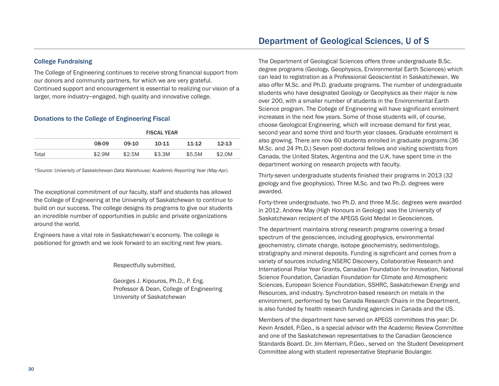#### College Fundraising

The College of Engineering continues to receive strong financial support from our donors and community partners, for which we are very grateful. Continued support and encouragement is essential to realizing our vision of a larger, more industry-engaged, high quality and innovative college.

#### Donations to the College of Engineering Fiscal

|       | <b>FISCAL YEAR</b> |        |           |        |           |  |  |
|-------|--------------------|--------|-----------|--------|-----------|--|--|
|       | 08-09              | 09-10  | $10 - 11$ | 11-12  | $12 - 13$ |  |  |
| Total | \$2.9M             | \$2.5M | \$3.3M    | \$5.5M | \$2.0M    |  |  |

*\*Source: University of Saskatchewan Data Warehouse; Academic Reporting Year (May-Apr).*

The exceptional commitment of our faculty, staff and students has allowed the College of Engineering at the University of Saskatchewan to continue to build on our success. The college designs its programs to give our students an incredible number of opportunities in public and private organizations around the world.

Engineers have a vital role in Saskatchewan's economy. The college is positioned for growth and we look forward to an exciting next few years.

Respectfully submitted,

Georges J. Kipouros, Ph.D., P. Eng. Professor & Dean, College of Engineering University of Saskatchewan

The Department of Geological Sciences offers three undergraduate B.Sc. degree programs (Geology, Geophysics, Environmental Earth Sciences) which can lead to registration as a Professional Geoscientist in Saskatchewan. We also offer M.Sc. and Ph.D. graduate programs. The number of undergraduate students who have designated Geology or Geophysics as their major is now over 200, with a smaller number of students in the Environmental Earth Science program. The College of Engineering will have significant enrolment increases in the next few years. Some of those students will, of course, choose Geological Engineering, which will increase demand for first year, second year and some third and fourth year classes. Graduate enrolment is also growing. There are now 60 students enrolled in graduate programs (36 M.Sc. and 24 Ph.D.) Seven post-doctoral fellows and visiting scientists from Canada, the United States, Argentina and the U.K. have spent time in the department working on research projects with faculty.

Thirty-seven undergraduate students finished their programs in 2013 (32 geology and five geophysics). Three M.Sc. and two Ph.D. degrees were awarded.

Forty-three undergraduate, two Ph.D. and three M.Sc. degrees were awarded in 2012. Andrew May (High Honours in Geology) was the University of Saskatchewan recipient of the APEGS Gold Medal in Geosciences.

The department maintains strong research programs covering a broad spectrum of the geosciences, including geophysics, environmental geochemistry, climate change, isotope geochemistry, sedimentology, stratigraphy and mineral deposits. Funding is significant and comes from a variety of sources including NSERC Discovery, Collaborative Research and International Polar Year Grants, Canadian Foundation for Innovation, National Science Foundation, Canadian Foundation for Climate and Atmospheric Sciences, European Science Foundation, SSHRC, Saskatchewan Energy and Resources, and industry. Synchrotron-based research on metals in the environment, performed by two Canada Research Chairs in the Department, is also funded by health research funding agencies in Canada and the US.

Members of the department have served on APEGS committees this year: Dr. Kevin Ansdell, P.Geo., is a special advisor with the Academic Review Committee and one of the Saskatchewan representatives to the Canadian Geoscience Standards Board. Dr. Jim Merriam, P.Geo., served on the Student Development Committee along with student representative Stephanie Boulanger.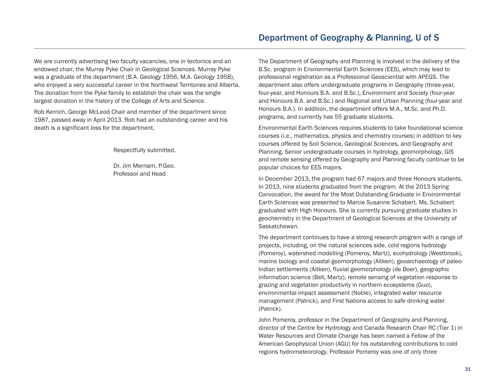We are currently advertising two faculty vacancies, one in tectonics and an endowed chair, the Murray Pyke Chair in Geological Sciences. Murray Pyke was a graduate of the department (B.A. Geology 1956, M.A. Geology 1958), who enjoyed a very successful career in the Northwest Territories and Alberta.

The donation from the Pyke family to establish the chair was the single largest donation in the history of the College of Arts and Science.

Rob Kerrich, George McLeod Chair and member of the department since 1987, passed away in April 2013. Rob had an outstanding career and his death is a significant loss for the department.

Respectfully submitted,

Dr. Jim Merriam, P.Geo. Professor and Head

The Department of Geography and Planning is involved in the delivery of the B.Sc. program in Environmental Earth Sciences (EES), which may lead to professional registration as a Professional Geoscientist with APEGS. The department also offers undergraduate programs in Geography (three-year, four-year, and Honours B.A. and B.Sc.), Environment and Society (four-year and Honours B.A. and B.Sc.) and Regional and Urban Planning (four-year and Honours B.A.). In addition, the department offers M.A., M.Sc. and Ph.D. programs, and currently has 55 graduate students.

Environmental Earth Sciences requires students to take foundational science courses (i.e., mathematics, physics and chemistry courses) in addition to key courses offered by Soil Science, Geological Sciences, and Geography and Planning. Senior undergraduate courses in hydrology, geomorphology, GIS and remote sensing offered by Geography and Planning faculty continue to be popular choices for EES majors.

In December 2013, the program had 67 majors and three Honours students. In 2013, nine students graduated from the program. At the 2013 Spring Convocation, the award for the Most Outstanding Graduate in Environmental Earth Sciences was presented to Marcie Susanne Schabert. Ms. Schabert graduated with High Honours. She is currently pursuing graduate studies in geochemistry in the Department of Geological Sciences at the University of Saskatchewan.

The department continues to have a strong research program with a range of projects, including, on the natural sciences side, cold regions hydrology (Pomeroy), watershed modelling (Pomeroy, Martz), ecohydrology (Westbrook), marine biology and coastal geomorphology (Aitken), geoarchaeology of paleo-Indian settlements (Aitken), fluvial geomorphology (de Boer), geographic information science (Bell, Martz), remote sensing of vegetation response to grazing and vegetation productivity in northern ecosystems (Guo), environmental impact assessment (Noble), integrated water resource management (Patrick), and First Nations access to safe drinking water (Patrick).

John Pomeroy, professor in the Department of Geography and Planning, director of the Centre for Hydrology and Canada Research Chair RC (Tier 1) in Water Resources and Climate Change has been named a Fellow of the American Geophysical Union (AGU) for his outstanding contributions to cold regions hydrometeorology. Professor Pomeroy was one of only three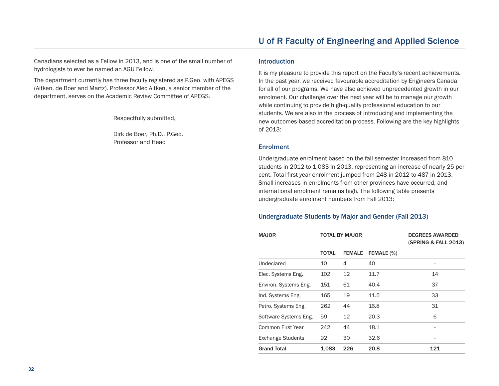Canadians selected as a Fellow in 2013, and is one of the small number of hydrologists to ever be named an AGU Fellow.

The department currently has three faculty registered as P.Geo. with APEGS (Aitken, de Boer and Martz). Professor Alec Aitken, a senior member of the department, serves on the Academic Review Committee of APEGS.

Respectfully submitted,

Dirk de Boer, Ph.D., P.Geo. Professor and Head

#### Introduction

It is my pleasure to provide this report on the Faculty's recent achievements. In the past year, we received favourable accreditation by Engineers Canada for all of our programs. We have also achieved unprecedented growth in our enrolment. Our challenge over the next year will be to manage our growth while continuing to provide high-quality professional education to our students. We are also in the process of introducing and implementing the new outcomes-based accreditation process. Following are the key highlights of 2013:

#### **Enrolment**

Undergraduate enrolment based on the fall semester increased from 810 students in 2012 to 1,083 in 2013, representing an increase of nearly 25 per cent. Total first year enrolment jumped from 248 in 2012 to 487 in 2013. Small increases in enrolments from other provinces have occurred, and international enrolment remains high. The following table presents undergraduate enrolment numbers from Fall 2013:

#### Undergraduate Students by Major and Gender (Fall 2013)

| <b>MAJOR</b>             | TOTAL BY MAJOR |               |            | <b>DEGREES AWARDED</b><br>(SPRING & FALL 2013) |  |
|--------------------------|----------------|---------------|------------|------------------------------------------------|--|
|                          | <b>TOTAL</b>   | <b>FEMALE</b> | FEMALE (%) |                                                |  |
| Undeclared               | 10             | 4             | 40         |                                                |  |
| Elec. Systems Eng.       | 102            | 12            | 11.7       | 14                                             |  |
| Environ. Systems Eng.    | 151            | 61            | 40.4       | 37                                             |  |
| Ind. Systems Eng.        | 165            | 19            | 11.5       | 33                                             |  |
| Petro. Systems Eng.      | 262            | 44            | 16.8       | 31                                             |  |
| Software Systems Eng.    | 59             | 12            | 20.3       | 6                                              |  |
| Common First Year        | 242            | 44            | 18.1       |                                                |  |
| <b>Exchange Students</b> | 92             | 30            | 32.6       | ۰                                              |  |
| <b>Grand Total</b>       | 1,083          | 226           | 20.8       | 121                                            |  |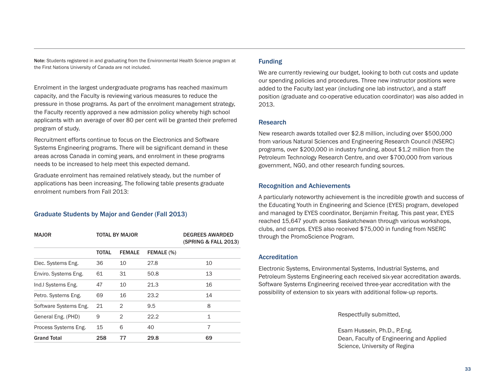Note: Students registered in and graduating from the Environmental Health Science program at the First Nations University of Canada are not included.

Enrolment in the largest undergraduate programs has reached maximum capacity, and the Faculty is reviewing various measures to reduce the pressure in those programs. As part of the enrolment management strategy, the Faculty recently approved a new admission policy whereby high school applicants with an average of over 80 per cent will be granted their preferred program of study.

Recruitment efforts continue to focus on the Electronics and Software Systems Engineering programs. There will be significant demand in these areas across Canada in coming years, and enrolment in these programs needs to be increased to help meet this expected demand.

Graduate enrolment has remained relatively steady, but the number of applications has been increasing. The following table presents graduate enrolment numbers from Fall 2013:

#### Graduate Students by Major and Gender (Fall 2013)

| <b>MAJOR</b>          | <b>TOTAL BY MAJOR</b> |               |            | <b>DEGREES AWARDED</b><br>(SPRING & FALL 2013) |  |  |
|-----------------------|-----------------------|---------------|------------|------------------------------------------------|--|--|
|                       | <b>TOTAL</b>          | <b>FEMALE</b> | FEMALE (%) |                                                |  |  |
| Elec. Systems Eng.    | 36                    | 10            | 27.8       | 10                                             |  |  |
| Enviro. Systems Eng.  | 61                    | 31            | 50.8       | 13                                             |  |  |
| Ind.I Systems Eng.    | 47                    | 10            | 21.3       | 16                                             |  |  |
| Petro. Systems Eng.   | 69                    | 16            | 23.2       | 14                                             |  |  |
| Software Systems Eng. | 21                    | $\mathcal{P}$ | 9.5        | 8                                              |  |  |
| General Eng. (PHD)    | 9                     | 2             | 22.2       | $\mathbf{1}$                                   |  |  |
| Process Systems Eng.  | 15                    | 6             | 40         | 7                                              |  |  |
| <b>Grand Total</b>    | 258                   | 77            | 29.8       | 69                                             |  |  |

#### Funding

We are currently reviewing our budget, looking to both cut costs and update our spending policies and procedures. Three new instructor positions were added to the Faculty last year (including one lab instructor), and a staff position (graduate and co-operative education coordinator) was also added in 2013.

#### Research

New research awards totalled over \$2.8 million, including over \$500,000 from various Natural Sciences and Engineering Research Council (NSERC) programs, over \$200,000 in industry funding, about \$1.2 million from the Petroleum Technology Research Centre, and over \$700,000 from various government, NGO, and other research funding sources.

#### Recognition and Achievements

A particularly noteworthy achievement is the incredible growth and success of the Educating Youth in Engineering and Science (EYES) program, developed and managed by EYES coordinator, Benjamin Freitag. This past year, EYES reached 15,647 youth across Saskatchewan through various workshops, clubs, and camps. EYES also received \$75,000 in funding from NSERC through the PromoScience Program.

#### Accreditation

Electronic Systems, Environmental Systems, Industrial Systems, and Petroleum Systems Engineering each received six-year accreditation awards. Software Systems Engineering received three-year accreditation with the possibility of extension to six years with additional follow-up reports.

Respectfully submitted,

Esam Hussein, Ph.D., P.Eng. Dean, Faculty of Engineering and Applied Science, University of Regina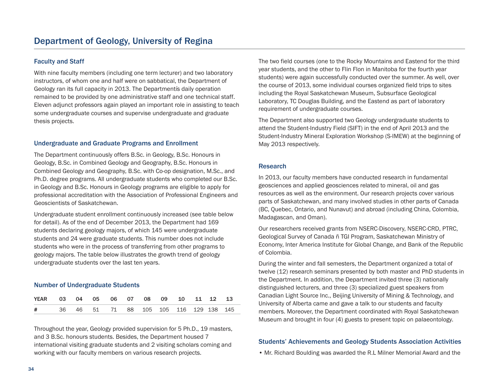#### Faculty and Staff

With nine faculty members (including one term lecturer) and two laboratory instructors, of whom one and half were on sabbatical, the Department of Geology ran its full capacity in 2013. The Departmentís daily operation remained to be provided by one administrative staff and one technical staff. Eleven adjunct professors again played an important role in assisting to teach some undergraduate courses and supervise undergraduate and graduate thesis projects.

#### Undergraduate and Graduate Programs and Enrollment

The Department continuously offers B.Sc. in Geology, B.Sc. Honours in Geology, B.Sc. in Combined Geology and Geography, B.Sc. Honours in Combined Geology and Geography, B.Sc. with Co-op designation, M.Sc., and Ph.D. degree programs. All undergraduate students who completed our B.Sc. in Geology and B.Sc. Honours in Geology programs are eligible to apply for professional accreditation with the Association of Professional Engineers and Geoscientists of Saskatchewan.

Undergraduate student enrollment continuously increased (see table below for detail). As of the end of December 2013, the Department had 169 students declaring geology majors, of which 145 were undergraduate students and 24 were graduate students. This number does not include students who were in the process of transferring from other programs to geology majors. The table below illustrates the growth trend of geology undergraduate students over the last ten years.

#### Number of Undergraduate Students

| YEAR  03  04  05  06  07  08  09  10  11  12  13 |  |  |  |  |  |  |
|--------------------------------------------------|--|--|--|--|--|--|
| # 36 46 51 71 88 105 105 116 129 138 145         |  |  |  |  |  |  |

Throughout the year, Geology provided supervision for 5 Ph.D., 19 masters, and 3 B.Sc. honours students. Besides, the Department housed 7 international visiting graduate students and 2 visiting scholars coming and working with our faculty members on various research projects.

The two field courses (one to the Rocky Mountains and Eastend for the third year students, and the other to Flin Flon in Manitoba for the fourth year students) were again successfully conducted over the summer. As well, over the course of 2013, some individual courses organized field trips to sites including the Royal Saskatchewan Museum, Subsurface Geological Laboratory, TC Douglas Building, and the Eastend as part of laboratory requirement of undergraduate courses.

The Department also supported two Geology undergraduate students to attend the Student-Industry Field (SIFT) in the end of April 2013 and the Student-Industry Mineral Exploration Workshop (S-IMEW) at the beginning of May 2013 respectively.

#### Research

In 2013, our faculty members have conducted research in fundamental geosciences and applied geosciences related to mineral, oil and gas resources as well as the environment. Our research projects cover various parts of Saskatchewan, and many involved studies in other parts of Canada (BC, Quebec, Ontario, and Nunavut) and abroad (including China, Colombia, Madagascan, and Oman).

Our researchers received grants from NSERC-Discovery, NSERC-CRD, PTRC, Geological Survey of Canada ñ TGI Program, Saskatchewan Ministry of Economy, Inter America Institute for Global Change, and Bank of the Republic of Colombia.

During the winter and fall semesters, the Department organized a total of twelve (12) research seminars presented by both master and PhD students in the Department. In addition, the Department invited three (3) nationally distinguished lecturers, and three (3) specialized guest speakers from Canadian Light Source Inc., Beijing University of Mining & Technology, and University of Alberta came and gave a talk to our students and faculty members. Moreover, the Department coordinated with Royal Saskatchewan Museum and brought in four (4) guests to present topic on palaeontology.

#### Students' Achievements and Geology Students Association Activities

• Mr. Richard Boulding was awarded the R.L Milner Memorial Award and the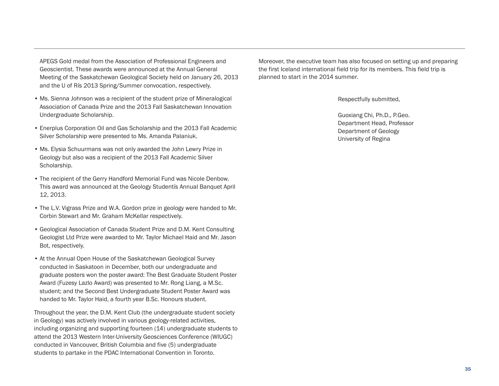APEGS Gold medal from the Association of Professional Engineers and Geoscientist. These awards were announced at the Annual General Meeting of the Saskatchewan Geological Society held on January 26, 2013 and the U of Rís 2013 Spring/Summer convocation, respectively.

- Ms. Sienna Johnson was a recipient of the student prize of Mineralogical Association of Canada Prize and the 2013 Fall Saskatchewan Innovation Undergraduate Scholarship.
- Enerplus Corporation Oil and Gas Scholarship and the 2013 Fall Academic Silver Scholarship were presented to Ms. Amanda Palaniuk.
- Ms. Elysia Schuurmans was not only awarded the John Lewry Prize in Geology but also was a recipient of the 2013 Fall Academic Silver Scholarship.
- The recipient of the Gerry Handford Memorial Fund was Nicole Denbow. This award was announced at the Geology Studentís Annual Banquet April 12, 2013.
- The L.V. Vigrass Prize and W.A. Gordon prize in geology were handed to Mr. Corbin Stewart and Mr. Graham McKellar respectively.
- Geological Association of Canada Student Prize and D.M. Kent Consulting Geologist Ltd Prize were awarded to Mr. Taylor Michael Haid and Mr. Jason Bot, respectively.
- At the Annual Open House of the Saskatchewan Geological Survey conducted in Saskatoon in December, both our undergraduate and graduate posters won the poster award: The Best Graduate Student Poster Award (Fuzesy Lazlo Award) was presented to Mr. Rong Liang, a M.Sc. student; and the Second Best Undergraduate Student Poster Award was handed to Mr. Taylor Haid, a fourth year B.Sc. Honours student.

Throughout the year, the D.M. Kent Club (the undergraduate student society in Geology) was actively involved in various geology-related activities, including organizing and supporting fourteen (14) undergraduate students to attend the 2013 Western Inter-University Geosciences Conference (WIUGC) conducted in Vancouver, British Columbia and five (5) undergraduate students to partake in the PDAC International Convention in Toronto.

Moreover, the executive team has also focused on setting up and preparing the first Iceland international field trip for its members. This field trip is planned to start in the 2014 summer.

Respectfully submitted,

Guoxiang Chi, Ph.D., P.Geo. Department Head, Professor Department of Geology University of Regina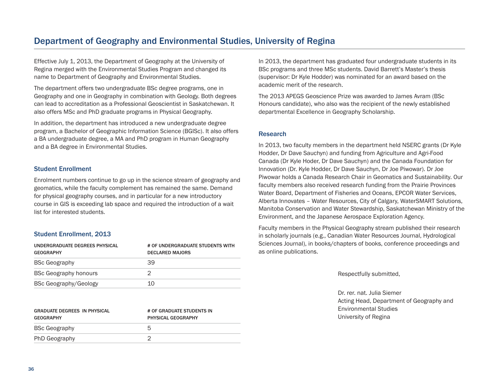### Department of Geography and Environmental Studies, University of Regina

Effective July 1, 2013, the Department of Geography at the University of Regina merged with the Environmental Studies Program and changed its name to Department of Geography and Environmental Studies.

The department offers two undergraduate BSc degree programs, one in Geography and one in Geography in combination with Geology. Both degrees can lead to accreditation as a Professional Geoscientist in Saskatchewan. It also offers MSc and PhD graduate programs in Physical Geography.

In addition, the department has introduced a new undergraduate degree program, a Bachelor of Geographic Information Science (BGISc). It also offers a BA undergraduate degree, a MA and PhD program in Human Geography and a BA degree in Environmental Studies.

#### Student Enrollment

Enrolment numbers continue to go up in the science stream of geography and geomatics, while the faculty complement has remained the same. Demand for physical geography courses, and in particular for a new introductory course in GIS is exceeding lab space and required the introduction of a wait list for interested students.

#### Student Enrollment, 2013

| UNDERGRADUATE DEGREES PHYSICAL<br><b>GEOGRAPHY</b> | # OF UNDERGRADUATE STUDENTS WITH<br><b>DECLARED MAJORS</b> |  |  |
|----------------------------------------------------|------------------------------------------------------------|--|--|
| <b>BSc Geography</b>                               | 39                                                         |  |  |
| <b>BSc Geography honours</b>                       |                                                            |  |  |
| <b>BSc Geography/Geology</b>                       | 10                                                         |  |  |

| <b>GRADUATE DEGREES IN PHYSICAL</b><br><b>GEOGRAPHY</b> | # OF GRADUATE STUDENTS IN<br><b>PHYSICAL GEOGRAPHY</b> |
|---------------------------------------------------------|--------------------------------------------------------|
| <b>BSc Geography</b>                                    | 5                                                      |
| <b>PhD Geography</b>                                    |                                                        |

In 2013, the department has graduated four undergraduate students in its BSc programs and three MSc students. David Barrett's Master's thesis (supervisor: Dr Kyle Hodder) was nominated for an award based on the academic merit of the research.

The 2013 APEGS Geoscience Prize was awarded to James Avram (BSc Honours candidate), who also was the recipient of the newly established departmental Excellence in Geography Scholarship.

#### Research

In 2013, two faculty members in the department held NSERC grants (Dr Kyle Hodder, Dr Dave Sauchyn) and funding from Agriculture and Agri-Food Canada (Dr Kyle Hoder, Dr Dave Sauchyn) and the Canada Foundation for Innovation (Dr. Kyle Hodder, Dr Dave Sauchyn, Dr Joe Piwowar). Dr Joe Piwowar holds a Canada Research Chair in Geomatics and Sustainability. Our faculty members also received research funding from the Prairie Provinces Water Board, Department of Fisheries and Oceans, EPCOR Water Services, Alberta Innovates – Water Resources, City of Calgary, WaterSMART Solutions, Manitoba Conservation and Water Stewardship, Saskatchewan Ministry of the Environment, and the Japanese Aerospace Exploration Agency.

Faculty members in the Physical Geography stream published their research in scholarly journals (e.g., Canadian Water Resources Journal, Hydrological Sciences Journal), in books/chapters of books, conference proceedings and as online publications.

Respectfully submitted,

Dr. rer. nat. Julia Siemer Acting Head, Department of Geography and Environmental Studies University of Regina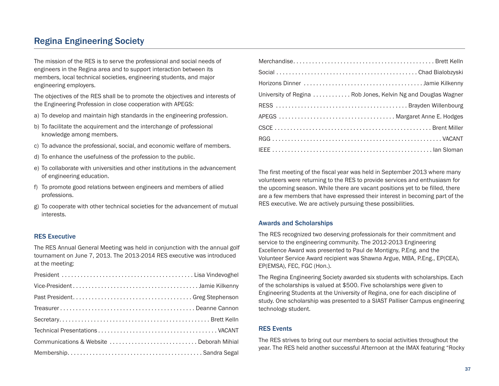### Regina Engineering Society

The mission of the RES is to serve the professional and social needs of engineers in the Regina area and to support interaction between its members, local technical societies, engineering students, and major engineering employers.

The objectives of the RES shall be to promote the objectives and interests of the Engineering Profession in close cooperation with APEGS:

- a) To develop and maintain high standards in the engineering profession.
- b) To facilitate the acquirement and the interchange of professional knowledge among members.
- c) To advance the professional, social, and economic welfare of members.
- d) To enhance the usefulness of the profession to the public.
- e) To collaborate with universities and other institutions in the advancement of engineering education.
- f) To promote good relations between engineers and members of allied professions.
- g) To cooperate with other technical societies for the advancement of mutual interests.

#### RES Executive

The RES Annual General Meeting was held in conjunction with the annual golf tournament on June 7, 2013. The 2013-2014 RES executive was introduced at the meeting:

| University of Regina  Rob Jones, Kelvin Ng and Douglas Wagner |
|---------------------------------------------------------------|
|                                                               |
|                                                               |
|                                                               |
|                                                               |
|                                                               |

The first meeting of the fiscal year was held in September 2013 where many volunteers were returning to the RES to provide services and enthusiasm for the upcoming season. While there are vacant positions yet to be filled, there are a few members that have expressed their interest in becoming part of the RES executive. We are actively pursuing these possibilities.

#### Awards and Scholarships

The RES recognized two deserving professionals for their commitment and service to the engineering community. The 2012-2013 Engineering Excellence Award was presented to Paul de Montigny, P.Eng. and the Volunteer Service Award recipient was Shawna Argue, MBA, P.Eng., EP(CEA), EP(EMSA), FEC, FGC (Hon.).

The Regina Engineering Society awarded six students with scholarships. Each of the scholarships is valued at \$500. Five scholarships were given to Engineering Students at the University of Regina, one for each discipline of study. One scholarship was presented to a SIAST Palliser Campus engineering technology student.

#### RES Events

The RES strives to bring out our members to social activities throughout the year. The RES held another successful Afternoon at the IMAX featuring "Rocky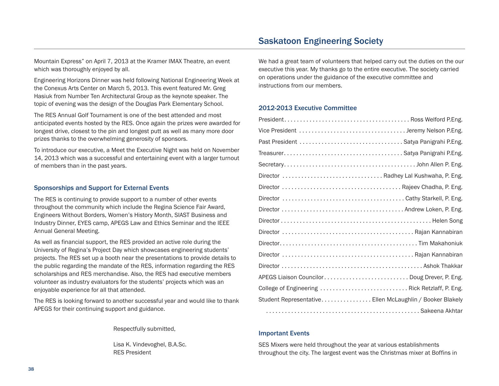### Saskatoon Engineering Society

Mountain Express" on April 7, 2013 at the Kramer IMAX Theatre, an event which was thoroughly enjoyed by all.

Engineering Horizons Dinner was held following National Engineering Week at the Conexus Arts Center on March 5, 2013. This event featured Mr. Greg Hasiuk from Number Ten Architectural Group as the keynote speaker. The topic of evening was the design of the Douglas Park Elementary School.

The RES Annual Golf Tournament is one of the best attended and most anticipated events hosted by the RES. Once again the prizes were awarded for longest drive, closest to the pin and longest putt as well as many more door prizes thanks to the overwhelming generosity of sponsors.

To introduce our executive, a Meet the Executive Night was held on November 14, 2013 which was a successful and entertaining event with a larger turnout of members than in the past years.

#### Sponsorships and Support for External Events

The RES is continuing to provide support to a number of other events throughout the community which include the Regina Science Fair Award, Engineers Without Borders, Women's History Month, SIAST Business and Industry Dinner, EYES camp, APEGS Law and Ethics Seminar and the IEEE Annual General Meeting.

As well as financial support, the RES provided an active role during the University of Regina's Project Day which showcases engineering students' projects. The RES set up a booth near the presentations to provide details to the public regarding the mandate of the RES, information regarding the RES scholarships and RES merchandise. Also, the RES had executive members volunteer as industry evaluators for the students' projects which was an enjoyable experience for all that attended.

The RES is looking forward to another successful year and would like to thank APEGS for their continuing support and guidance.

Respectfully submitted,

Lisa K. Vindevoghel, B.A.Sc. RES President

We had a great team of volunteers that helped carry out the duties on the our executive this year. My thanks go to the entire executive. The society carried on operations under the guidance of the executive committee and instructions from our members.

#### 2012-2013 Executive Committee

| Past President  Satya Panigrahi P.Eng.                   |
|----------------------------------------------------------|
|                                                          |
|                                                          |
|                                                          |
|                                                          |
|                                                          |
|                                                          |
|                                                          |
|                                                          |
|                                                          |
|                                                          |
|                                                          |
| APEGS Liaison Councilor Doug Drever, P. Eng.             |
| College of Engineering  Rick Retzlaff, P. Eng.           |
| Student Representative Ellen McLaughlin / Booker Blakely |
|                                                          |

#### Important Events

SES Mixers were held throughout the year at various establishments throughout the city. The largest event was the Christmas mixer at Boffins in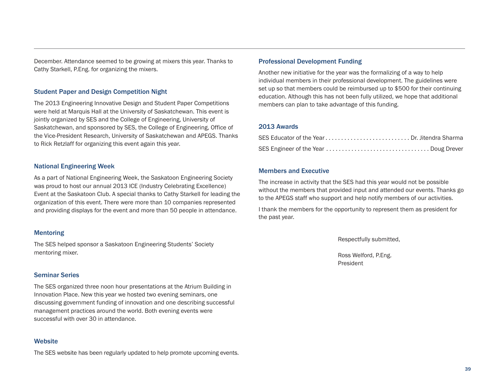December. Attendance seemed to be growing at mixers this year. Thanks to Cathy Starkell, P.Eng. for organizing the mixers.

#### Student Paper and Design Competition Night

The 2013 Engineering Innovative Design and Student Paper Competitions were held at Marquis Hall at the University of Saskatchewan. This event is jointly organized by SES and the College of Engineering, University of Saskatchewan, and sponsored by SES, the College of Engineering, Office of the Vice-President Research, University of Saskatchewan and APEGS. Thanks to Rick Retzlaff for organizing this event again this year.

#### National Engineering Week

As a part of National Engineering Week, the Saskatoon Engineering Society was proud to host our annual 2013 ICE (Industry Celebrating Excellence) Event at the Saskatoon Club. A special thanks to Cathy Starkell for leading the organization of this event. There were more than 10 companies represented and providing displays for the event and more than 50 people in attendance.

#### Mentoring

The SES helped sponsor a Saskatoon Engineering Students' Society mentoring mixer.

#### Seminar Series

The SES organized three noon hour presentations at the Atrium Building in Innovation Place. New this year we hosted two evening seminars, one discussing government funding of innovation and one describing successful management practices around the world. Both evening events were successful with over 30 in attendance.

#### **Website**

The SES website has been regularly updated to help promote upcoming events.

#### Professional Development Funding

Another new initiative for the year was the formalizing of a way to help individual members in their professional development. The guidelines were set up so that members could be reimbursed up to \$500 for their continuing education. Although this has not been fully utilized, we hope that additional members can plan to take advantage of this funding.

#### 2013 Awards

| SES Educator of the Year Dr. Jitendra Sharma |  |
|----------------------------------------------|--|
|                                              |  |

#### Members and Executive

The increase in activity that the SES had this year would not be possible without the members that provided input and attended our events. Thanks go to the APEGS staff who support and help notify members of our activities.

I thank the members for the opportunity to represent them as president for the past year.

Respectfully submitted,

Ross Welford, P.Eng. President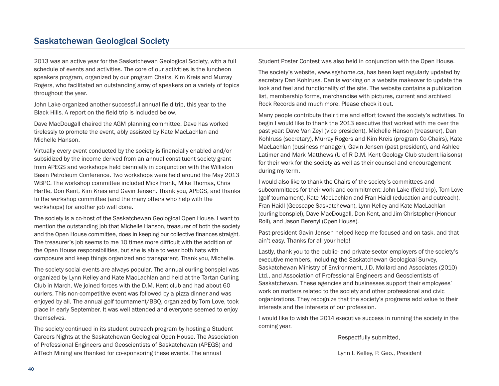### Saskatchewan Geological Society

2013 was an active year for the Saskatchewan Geological Society, with a full schedule of events and activities. The core of our activities is the luncheon speakers program, organized by our program Chairs, Kim Kreis and Murray Rogers, who facilitated an outstanding array of speakers on a variety of topics throughout the year.

John Lake organized another successful annual field trip, this year to the Black Hills. A report on the field trip is included below.

Dave MacDougall chaired the AGM planning committee. Dave has worked tirelessly to promote the event, ably assisted by Kate MacLachlan and Michelle Hanson.

Virtually every event conducted by the society is financially enabled and/or subsidized by the income derived from an annual constituent society grant from APEGS and workshops held biennially in conjunction with the Williston Basin Petroleum Conference. Two workshops were held around the May 2013 WBPC. The workshop committee included Mick Frank, Mike Thomas, Chris Hartle, Don Kent, Kim Kreis and Gavin Jensen. Thank you, APEGS, and thanks to the workshop committee (and the many others who help with the workshops) for another job well done.

The society is a co-host of the Saskatchewan Geological Open House. I want to mention the outstanding job that Michelle Hanson, treasurer of both the society and the Open House committee, does in keeping our collective finances straight. The treasurer's job seems to me 10 times more difficult with the addition of the Open House responsibilities, but she is able to wear both hats with composure and keep things organized and transparent. Thank you, Michelle.

The society social events are always popular. The annual curling bonspiel was organized by Lynn Kelley and Kate MacLachlan and held at the Tartan Curling Club in March. We joined forces with the D.M. Kent club and had about 60 curlers. This non-competitive event was followed by a pizza dinner and was enjoyed by all. The annual golf tournament/BBQ, organized by Tom Love, took place in early September. It was well attended and everyone seemed to enjoy themselves.

The society continued in its student outreach program by hosting a Student Careers Nights at the Saskatchewan Geological Open House. The Association of Professional Engineers and Geoscientists of Saskatchewan (APEGS) and AllTech Mining are thanked for co-sponsoring these events. The annual

Student Poster Contest was also held in conjunction with the Open House.

The society's website, www.sgshome.ca, has been kept regularly updated by secretary Dan Kohlruss. Dan is working on a website makeover to update the look and feel and functionality of the site. The website contains a publication list, membership forms, merchandise with pictures, current and archived Rock Records and much more. Please check it out.

Many people contribute their time and effort toward the society's activities. To begin I would like to thank the 2013 executive that worked with me over the past year: Dave Van Zeyl (vice president), Michelle Hanson (treasurer), Dan Kohlruss (secretary), Murray Rogers and Kim Kreis (program Co-Chairs), Kate MacLachlan (business manager), Gavin Jensen (past president), and Ashlee Latimer and Mark Matthews (U of R D.M. Kent Geology Club student liaisons) for their work for the society as well as their counsel and encouragement during my term.

I would also like to thank the Chairs of the society's committees and subcommittees for their work and commitment: John Lake (field trip), Tom Love (golf tournament), Kate MacLachlan and Fran Haidl (education and outreach), Fran Haidl (Geoscape Saskatchewan), Lynn Kelley and Kate MacLachlan (curling bonspiel), Dave MacDougall, Don Kent, and Jim Christopher (Honour Roll), and Jason Berenyi (Open House).

Past-president Gavin Jensen helped keep me focused and on task, and that ain't easy. Thanks for all your help!

Lastly, thank you to the public- and private-sector employers of the society's executive members, including the Saskatchewan Geological Survey, Saskatchewan Ministry of Environment, J.D. Mollard and Associates (2010) Ltd., and Association of Professional Engineers and Geoscientists of Saskatchewan. These agencies and businesses support their employees' work on matters related to the society and other professional and civic organizations. They recognize that the society's programs add value to their interests and the interests of our profession.

I would like to wish the 2014 executive success in running the society in the coming year.

Respectfully submitted,

Lynn I. Kelley, P. Geo., President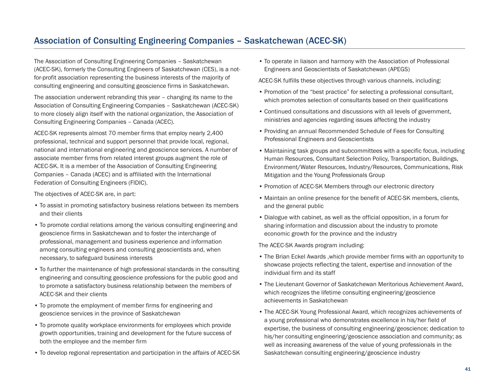### Association of Consulting Engineering Companies – Saskatchewan (ACEC-SK)

The Association of Consulting Engineering Companies – Saskatchewan (ACEC-SK), formerly the Consulting Engineers of Saskatchewan (CES), is a notfor-profit association representing the business interests of the majority of consulting engineering and consulting geoscience firms in Saskatchewan.

The association underwent rebranding this year – changing its name to the Association of Consulting Engineering Companies – Saskatchewan (ACEC-SK) to more closely align itself with the national organization, the Association of Consulting Engineering Companies – Canada (ACEC).

ACEC-SK represents almost 70 member firms that employ nearly 2,400 professional, technical and support personnel that provide local, regional, national and international engineering and geoscience services. A number of associate member firms from related interest groups augment the role of ACEC-SK. It is a member of the Association of Consulting Engineering Companies – Canada (ACEC) and is affiliated with the International Federation of Consulting Engineers (FIDIC).

The objectives of ACEC-SK are, in part:

- To assist in promoting satisfactory business relations between its members and their clients
- To promote cordial relations among the various consulting engineering and geoscience firms in Saskatchewan and to foster the interchange of professional, management and business experience and information among consulting engineers and consulting geoscientists and, when necessary, to safeguard business interests
- To further the maintenance of high professional standards in the consulting engineering and consulting geoscience professions for the public good and to promote a satisfactory business relationship between the members of ACEC-SK and their clients
- To promote the employment of member firms for engineering and geoscience services in the province of Saskatchewan
- To promote quality workplace environments for employees which provide growth opportunities, training and development for the future success of both the employee and the member firm
- To develop regional representation and participation in the affairs of ACEC-SK

• To operate in liaison and harmony with the Association of Professional Engineers and Geoscientists of Saskatchewan (APEGS)

ACEC-SK fulfills these objectives through various channels, including:

- Promotion of the "best practice" for selecting a professional consultant, which promotes selection of consultants based on their qualifications
- Continued consultations and discussions with all levels of government, ministries and agencies regarding issues affecting the industry
- Providing an annual Recommended Schedule of Fees for Consulting Professional Engineers and Geoscientists
- Maintaining task groups and subcommittees with a specific focus, including Human Resources, Consultant Selection Policy, Transportation, Buildings, Environment/Water Resources, Industry/Resources, Communications, Risk Mitigation and the Young Professionals Group
- Promotion of ACEC-SK Members through our electronic directory
- Maintain an online presence for the benefit of ACEC-SK members, clients, and the general public
- Dialogue with cabinet, as well as the official opposition, in a forum for sharing information and discussion about the industry to promote economic growth for the province and the industry

The ACEC-SK Awards program including:

- The Brian Eckel Awards ,which provide member firms with an opportunity to showcase projects reflecting the talent, expertise and innovation of the individual firm and its staff
- The Lieutenant Governor of Saskatchewan Meritorious Achievement Award, which recognizes the lifetime consulting engineering/geoscience achievements in Saskatchewan
- The ACEC-SK Young Professional Award, which recognizes achievements of a young professional who demonstrates excellence in his/her field of expertise, the business of consulting engineering/geoscience; dedication to his/her consulting engineering/geoscience association and community; as well as increasing awareness of the value of young professionals in the Saskatchewan consulting engineering/geoscience industry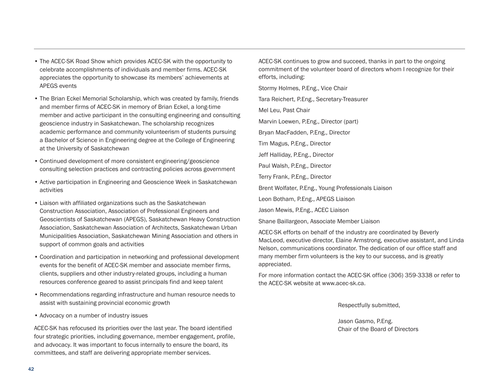- The ACEC-SK Road Show which provides ACEC-SK with the opportunity to celebrate accomplishments of individuals and member firms. ACEC-SK appreciates the opportunity to showcase its members' achievements at APEGS events
- The Brian Eckel Memorial Scholarship, which was created by family, friends and member firms of ACEC-SK in memory of Brian Eckel, a long-time member and active participant in the consulting engineering and consulting geoscience industry in Saskatchewan. The scholarship recognizes academic performance and community volunteerism of students pursuing a Bachelor of Science in Engineering degree at the College of Engineering at the University of Saskatchewan
- Continued development of more consistent engineering/geoscience consulting selection practices and contracting policies across government
- Active participation in Engineering and Geoscience Week in Saskatchewan activities
- Liaison with affiliated organizations such as the Saskatchewan Construction Association, Association of Professional Engineers and Geoscientists of Saskatchewan (APEGS), Saskatchewan Heavy Construction Association, Saskatchewan Association of Architects, Saskatchewan Urban Municipalities Association, Saskatchewan Mining Association and others in support of common goals and activities
- Coordination and participation in networking and professional development events for the benefit of ACEC-SK member and associate member firms, clients, suppliers and other industry-related groups, including a human resources conference geared to assist principals find and keep talent
- Recommendations regarding infrastructure and human resource needs to assist with sustaining provincial economic growth
- Advocacy on a number of industry issues

ACEC-SK has refocused its priorities over the last year. The board identified four strategic priorities, including governance, member engagement, profile, and advocacy. It was important to focus internally to ensure the board, its committees, and staff are delivering appropriate member services.

ACEC-SK continues to grow and succeed, thanks in part to the ongoing commitment of the volunteer board of directors whom I recognize for their efforts, including:

Stormy Holmes, P.Eng., Vice Chair

Tara Reichert, P.Eng., Secretary-Treasurer

Mel Leu, Past Chair

Marvin Loewen, P.Eng., Director (part)

Bryan MacFadden, P.Eng., Director

Tim Magus, P.Eng., Director

Jeff Halliday, P.Eng., Director

Paul Walsh, P.Eng., Director

Terry Frank, P.Eng., Director

Brent Wolfater, P.Eng., Young Professionals Liaison

Leon Botham, P.Eng., APEGS Liaison

Jason Mewis, P.Eng., ACEC Liaison

Shane Baillargeon, Associate Member Liaison

ACEC-SK efforts on behalf of the industry are coordinated by Beverly MacLeod, executive director, Elaine Armstrong, executive assistant, and Linda Nelson, communications coordinator. The dedication of our office staff and many member firm volunteers is the key to our success, and is greatly appreciated.

For more information contact the ACEC-SK office (306) 359-3338 or refer to the ACEC-SK website at www.acec-sk.ca.

Respectfully submitted,

Jason Gasmo, P.Eng. Chair of the Board of Directors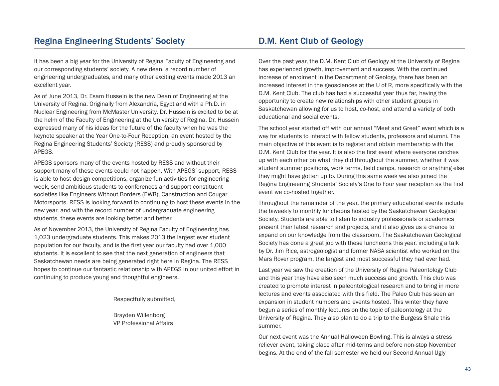### Regina Engineering Students' Society

It has been a big year for the University of Regina Faculty of Engineering and our corresponding students' society. A new dean, a record number of engineering undergraduates, and many other exciting events made 2013 an excellent year.

As of June 2013, Dr. Esam Hussein is the new Dean of Engineering at the University of Regina. Originally from Alexandria, Egypt and with a Ph.D. in Nuclear Engineering from McMaster University, Dr. Hussein is excited to be at the helm of the Faculty of Engineering at the University of Regina. Dr. Hussein expressed many of his ideas for the future of the faculty when he was the keynote speaker at the Year One-to-Four Reception, an event hosted by the Regina Engineering Students' Society (RESS) and proudly sponsored by APEGS.

APEGS sponsors many of the events hosted by RESS and without their support many of these events could not happen. With APEGS' support, RESS is able to host design competitions, organize fun activities for engineering week, send ambitious students to conferences and support constituent societies like Engineers Without Borders (EWB), Canstruction and Cougar Motorsports. RESS is looking forward to continuing to host these events in the new year, and with the record number of undergraduate engineering students, these events are looking better and better.

As of November 2013, the University of Regina Faculty of Engineering has 1,023 undergraduate students. This makes 2013 the largest ever student population for our faculty, and is the first year our faculty had over 1,000 students. It is excellent to see that the next generation of engineers that Saskatchewan needs are being generated right here in Regina. The RESS hopes to continue our fantastic relationship with APEGS in our united effort in continuing to produce young and thoughtful engineers.

Respectfully submitted,

Brayden Willenborg VP Professional Affairs

### D.M. Kent Club of Geology

Over the past year, the D.M. Kent Club of Geology at the University of Regina has experienced growth, improvement and success. With the continued increase of enrolment in the Department of Geology, there has been an increased interest in the geosciences at the U of R, more specifically with the D.M. Kent Club. The club has had a successful year thus far, having the opportunity to create new relationships with other student groups in Saskatchewan allowing for us to host, co-host, and attend a variety of both educational and social events.

The school year started off with our annual "Meet and Greet" event which is a way for students to interact with fellow students, professors and alumni. The main objective of this event is to register and obtain membership with the D.M. Kent Club for the year. It is also the first event where everyone catches up with each other on what they did throughout the summer, whether it was student summer positions, work terms, field camps, research or anything else they might have gotten up to. During this same week we also joined the Regina Engineering Students' Society's One to Four year reception as the first event we co-hosted together.

Throughout the remainder of the year, the primary educational events include the biweekly to monthly luncheons hosted by the Saskatchewan Geological Society. Students are able to listen to industry professionals or academics present their latest research and projects, and it also gives us a chance to expand on our knowledge from the classroom. The Saskatchewan Geological Society has done a great job with these luncheons this year, including a talk by Dr. Jim Rice, astrogeologist and former NASA scientist who worked on the Mars Rover program, the largest and most successful they had ever had.

Last year we saw the creation of the University of Regina Paleontology Club and this year they have also seen much success and growth. This club was created to promote interest in paleontological research and to bring in more lectures and events associated with this field. The Paleo Club has seen an expansion in student numbers and events hosted. This winter they have begun a series of monthly lectures on the topic of paleontology at the University of Regina. They also plan to do a trip to the Burgess Shale this summer.

Our next event was the Annual Halloween Bowling. This is always a stress reliever event, taking place after mid-terms and before non-stop November begins. At the end of the fall semester we held our Second Annual Ugly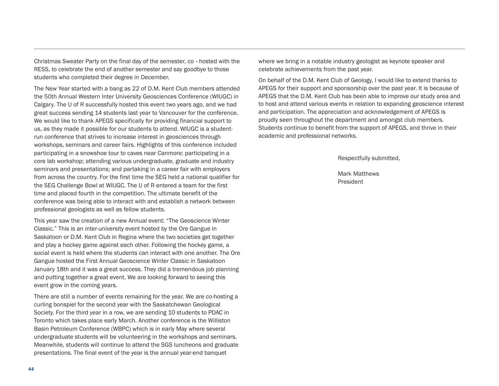Christmas Sweater Party on the final day of the semester, co –hosted with the RESS, to celebrate the end of another semester and say goodbye to those students who completed their degree in December.

The New Year started with a bang as 22 of D.M. Kent Club members attended the 50th Annual Western Inter University Geosciences Conference (WIUGC) in Calgary. The U of R successfully hosted this event two years ago, and we had great success sending 14 students last year to Vancouver for the conference. We would like to thank APEGS specifically for providing financial support to us, as they made it possible for our students to attend. WIUGC is a studentrun conference that strives to increase interest in geosciences through workshops, seminars and career fairs. Highlights of this conference included participating in a snowshoe tour to caves near Canmore; participating in a core lab workshop; attending various undergraduate, graduate and industry seminars and presentations; and partaking in a career fair with employers from across the country. For the first time the SEG held a national qualifier for the SEG Challenge Bowl at WIUGC. The U of R entered a team for the first time and placed fourth in the competition. The ultimate benefit of the conference was being able to interact with and establish a network between professional geologists as well as fellow students.

This year saw the creation of a new Annual event: "The Geoscience Winter Classic." This is an inter-university event hosted by the Ore Gangue in Saskatoon or D.M. Kent Club in Regina where the two societies get together and play a hockey game against each other. Following the hockey game, a social event is held where the students can interact with one another. The Ore Gangue hosted the First Annual Geoscience Winter Classic in Saskatoon January 18th and it was a great success. They did a tremendous job planning and putting together a great event. We are looking forward to seeing this event grow in the coming years.

There are still a number of events remaining for the year. We are co-hosting a curling bonspiel for the second year with the Saskatchewan Geological Society. For the third year in a row, we are sending 10 students to PDAC in Toronto which takes place early March. Another conference is the Williston Basin Petroleum Conference (WBPC) which is in early May where several undergraduate students will be volunteering in the workshops and seminars. Meanwhile, students will continue to attend the SGS luncheons and graduate presentations. The final event of the year is the annual year-end banquet

where we bring in a notable industry geologist as keynote speaker and celebrate achievements from the past year.

On behalf of the D.M. Kent Club of Geology, I would like to extend thanks to APEGS for their support and sponsorship over the past year. It is because of APEGS that the D.M. Kent Club has been able to improve our study area and to host and attend various events in relation to expanding geoscience interest and participation. The appreciation and acknowledgement of APEGS is proudly seen throughout the department and amongst club members. Students continue to benefit from the support of APEGS, and thrive in their academic and professional networks.

Respectfully submitted,

Mark Matthews President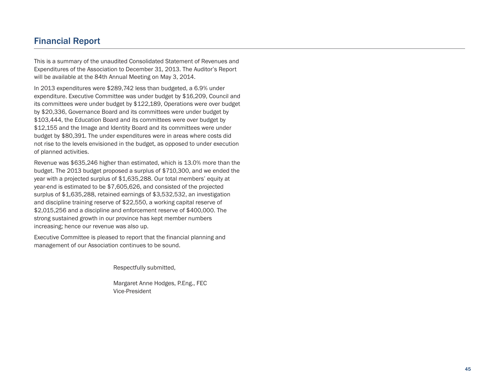### Financial Report

This is a summary of the unaudited Consolidated Statement of Revenues and Expenditures of the Association to December 31, 2013. The Auditor's Report will be available at the 84th Annual Meeting on May 3, 2014.

In 2013 expenditures were \$289,742 less than budgeted, a 6.9% under expenditure. Executive Committee was under budget by \$16,209, Council and its committees were under budget by \$122,189, Operations were over budget by \$20,336, Governance Board and its committees were under budget by \$103,444, the Education Board and its committees were over budget by \$12,155 and the Image and Identity Board and its committees were under budget by \$80,391. The under expenditures were in areas where costs did not rise to the levels envisioned in the budget, as opposed to under execution of planned activities.

Revenue was \$635,246 higher than estimated, which is 13.0% more than the budget. The 2013 budget proposed a surplus of \$710,300, and we ended the year with a projected surplus of \$1,635,288. Our total members' equity at year-end is estimated to be \$7,605,626, and consisted of the projected surplus of \$1,635,288, retained earnings of \$3,532,532, an investigation and discipline training reserve of \$22,550, a working capital reserve of \$2,015,256 and a discipline and enforcement reserve of \$400,000. The strong sustained growth in our province has kept member numbers increasing; hence our revenue was also up.

Executive Committee is pleased to report that the financial planning and management of our Association continues to be sound.

Respectfully submitted,

Margaret Anne Hodges, P.Eng., FEC Vice-President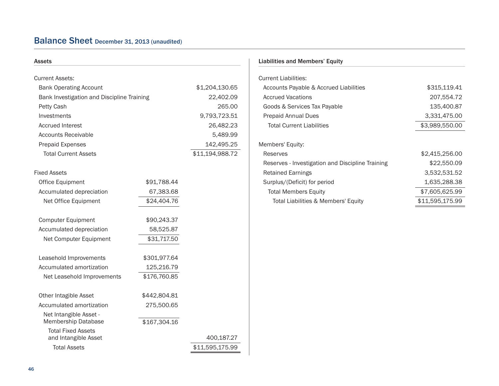### Balance Sheet December 31, <sup>2013</sup> (unaudited)

| Assets                                            |              |                 |
|---------------------------------------------------|--------------|-----------------|
| <b>Current Assets:</b>                            |              |                 |
| <b>Bank Operating Account</b>                     |              | \$1,204,130.65  |
| Bank Investigation and Discipline Training        |              | 22,402.09       |
| Petty Cash                                        |              | 265.00          |
| Investments                                       |              | 9,793,723.51    |
| <b>Accrued Interest</b>                           |              | 26,482.23       |
| Accounts Receivable                               |              | 5,489.99        |
| <b>Prepaid Expenses</b>                           |              | 142,495.25      |
| <b>Total Current Assets</b>                       |              | \$11,194,988.72 |
| <b>Fixed Assets</b>                               |              |                 |
| Office Equipment                                  | \$91,788.44  |                 |
| Accumulated depreciation                          | 67,383.68    |                 |
| Net Office Equipment                              | \$24,404.76  |                 |
| <b>Computer Equipment</b>                         | \$90,243.37  |                 |
| Accumulated depreciation                          | 58,525.87    |                 |
| Net Computer Equipment                            | \$31,717.50  |                 |
| Leasehold Improvements                            | \$301,977.64 |                 |
| Accumulated amortization                          | 125,216.79   |                 |
| Net Leasehold Improvements                        | \$176,760.85 |                 |
| Other Intagible Asset                             | \$442,804.81 |                 |
| Accumulated amortization                          | 275,500.65   |                 |
| Net Intangible Asset -<br>Membership Database     | \$167,304.16 |                 |
| <b>Total Fixed Assets</b><br>and Intangible Asset |              | 400,187.27      |
| <b>Total Assets</b>                               |              | \$11,595,175.99 |
|                                                   |              |                 |

#### Liabilities and Members' Equity

| \$315,119.41<br>207,554.72 |
|----------------------------|
|                            |
|                            |
|                            |
| 135,400.87                 |
| 3,331,475.00               |
| \$3,989,550.00             |
|                            |
|                            |
| \$2,415,256.00             |
| \$22,550.09                |
| 3,532,531.52               |
| 1,635,288.38               |
| \$7,605,625.99             |
| \$11,595,175.99            |
|                            |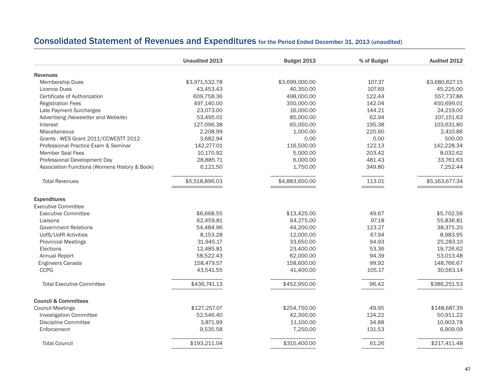### Consolidated Statement of Revenues and Expenditures for the Period Ended December 31, <sup>2013</sup> (unaudited)

|                                               | Unaudited 2013 | Budget 2013    | % of Budget         | Audited 2012   |
|-----------------------------------------------|----------------|----------------|---------------------|----------------|
| <b>Revenues</b>                               |                |                |                     |                |
| Membership Dues                               | \$3,971,532.78 | \$3,699,000.00 | 107.37              | \$3,680,827.15 |
| Licence Dues                                  | 43,453.43      | 40,350.00      | 107.69              | 45,225.00      |
| Certificate of Authorization                  | 609,758.36     | 498,000.00     | 122.44              | 557,737.86     |
| <b>Registration Fees</b>                      | 497,140.00     | 350,000.00     | 142.04              | 450,699.01     |
| Late Payment Surcharges                       | 23,073.00      | 16,000.00      | 144.21              | 24,219.00      |
| Advertising (Newsletter and Website)          | 53,495.01      | 85,000.00      | 62.94               | 107,151.63     |
| Interest                                      | 127,096.38     | 65,050.00      | 195.38              | 103,631.80     |
| Miscellaneous                                 | 2,208.99       | 1,000.00       | 220.90              | 2,410.86       |
| Grants - WES Grant 2011/CCWESTT 2012          | 3,682.94       | 0.00           | 0.00                | 500.00         |
| Professional Practice Exam & Seminar          | 142,277.01     | 116,500.00     | 122.13              | 142,228.34     |
| <b>Member Seal Fees</b>                       | 10,170.92      | 5,000.00       | 203.42              | 8,032.62       |
| Professional Development Day                  | 28,885.71      | 6,000.00       | 481.43              | 33,761.63      |
| Association Functions (Womens History & Book) | 6,121.50       | 1,750.00       | 349.80              | 7,252.44       |
| <b>Total Revenues</b>                         | \$5,518,896.03 | \$4,883,650.00 | 113.01<br>_________ | \$5,163,677.34 |
| <b>Expenditures</b>                           |                |                |                     |                |
| <b>Executive Committee</b>                    |                |                |                     |                |
| <b>Executive Committee</b>                    | \$6,668.55     | \$13,425.00    | 49.67               | \$5,702.56     |
| Liaisons                                      | 62,459.81      | 64,275.00      | 97.18               | 55,836.81      |
| <b>Government Relations</b>                   | 54,484.96      | 44,200.00      | 123.27              | 38,375.20      |
| UofS/UofR Activities                          | 8,153.28       | 12,000.00      | 67.94               | 8,983.95       |
| <b>Provincial Meetings</b>                    | 31,945.17      | 33,650.00      | 94.93               | 25,283.10      |
| Elections                                     | 12,485.81      | 23,400.00      | 53.36               | 19,726.62      |
| Annual Report                                 | 58,522.43      | 62,000.00      | 94.39               | 53,013.48      |
| Engineers Canada                              | 158,479.57     | 158,600.00     | 99.92               | 148,766.67     |
| <b>CCPG</b>                                   | 43,541.55      | 41,400.00      | 105.17              | 30,563.14      |
| <b>Total Executive Committee</b>              | \$436,741.13   | \$452,950.00   | 96.42               | \$386,251.53   |
| <b>Council &amp; Committees</b>               |                |                |                     |                |
| <b>Council Meetings</b>                       | \$127,257.07   | \$254,750.00   | 49.95               | \$148,687.39   |
| <b>Investigation Committee</b>                | 52,546.40      | 42,300.00      | 124.22              | 50,911.22      |
| Discipline Committee                          | 3,871.99       | 11,100.00      | 34.88               | 10,903.78      |
| Enforcement                                   | 9,535.58       | 7,250.00       | 131.53              | 6,909.09       |
| <b>Total Council</b>                          | \$193,211.04   | \$315,400.00   | 61.26               | \$217,411.48   |
|                                               |                |                |                     |                |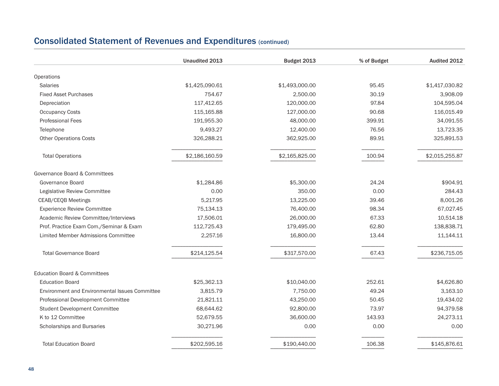### Consolidated Statement of Revenues and Expenditures (continued)

|                                                       | Unaudited 2013 | Budget 2013    | % of Budget | Audited 2012   |
|-------------------------------------------------------|----------------|----------------|-------------|----------------|
| Operations                                            |                |                |             |                |
| <b>Salaries</b>                                       | \$1,425,090.61 | \$1,493,000.00 | 95.45       | \$1,417,030.82 |
| <b>Fixed Asset Purchases</b>                          | 754.67         | 2.500.00       | 30.19       | 3,908.09       |
| Depreciation                                          | 117,412.65     | 120,000.00     | 97.84       | 104,595.04     |
| <b>Occupancy Costs</b>                                | 115,165.88     | 127,000.00     | 90.68       | 116,015.49     |
| <b>Professional Fees</b>                              | 191,955.30     | 48,000.00      | 399.91      | 34,091.55      |
| Telephone                                             | 9,493.27       | 12,400.00      | 76.56       | 13,723.35      |
| <b>Other Operations Costs</b>                         | 326,288.21     | 362,925.00     | 89.91       | 325,891.53     |
| <b>Total Operations</b>                               | \$2,186,160.59 | \$2,165,825.00 | 100.94      | \$2,015,255.87 |
| Governance Board & Committees                         |                |                |             |                |
| Governance Board                                      | \$1,284.86     | \$5,300.00     | 24.24       | \$904.91       |
| Legislative Review Committee                          | 0.00           | 350.00         | 0.00        | 284.43         |
| CEAB/CEQB Meetings                                    | 5,217.95       | 13,225.00      | 39.46       | 8,001.26       |
| <b>Experience Review Committee</b>                    | 75,134.13      | 76,400.00      | 98.34       | 67,027.45      |
| Academic Review Committee/Interviews                  | 17,506.01      | 26,000.00      | 67.33       | 10,514.18      |
| Prof. Practice Exam Com./Seminar & Exam               | 112,725.43     | 179,495.00     | 62.80       | 138,838.71     |
| Limited Member Admissions Committee                   | 2,257.16       | 16,800.00      | 13.44       | 11,144.11      |
| <b>Total Governance Board</b>                         | \$214,125.54   | \$317,570.00   | 67.43       | \$236,715.05   |
| <b>Education Board &amp; Committees</b>               |                |                |             |                |
| <b>Education Board</b>                                | \$25,362.13    | \$10,040.00    | 252.61      | \$4,626.80     |
| <b>Environment and Environmental Issues Committee</b> | 3,815.79       | 7,750.00       | 49.24       | 3,163.10       |
| Professional Development Committee                    | 21,821.11      | 43,250.00      | 50.45       | 19,434.02      |
| Student Development Committee                         | 68,644.62      | 92,800.00      | 73.97       | 94,379.58      |
| K to 12 Committee                                     | 52,679.55      | 36,600.00      | 143.93      | 24,273.11      |
| Scholarships and Bursaries                            | 30,271.96      | 0.00           | 0.00        | 0.00           |
| <b>Total Education Board</b>                          | \$202,595.16   | \$190,440.00   | 106.38      | \$145,876.61   |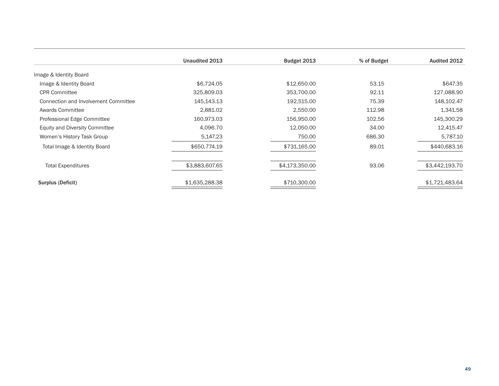|                                       | Unaudited 2013 | Budget 2013    | % of Budget | Audited 2012   |
|---------------------------------------|----------------|----------------|-------------|----------------|
| Image & Identity Board                |                |                |             |                |
| Image & Identity Board                | \$6,724.05     | \$12,650.00    | 53.15       | \$647.35       |
| <b>CPR Committee</b>                  | 325,809.03     | 353,700.00     | 92.11       | 127,088.90     |
| Connection and Involvement Committee  | 145,143.13     | 192,515.00     | 75.39       | 148,102.47     |
| Awards Committee                      | 2,881.02       | 2,550.00       | 112.98      | 1,341.58       |
| Professional Edge Committee           | 160,973.03     | 156,950.00     | 102.56      | 145,300.29     |
| <b>Equity and Diversity Committee</b> | 4,096.70       | 12,050.00      | 34.00       | 12,415.47      |
| Women's History Task Group            | 5,147.23       | 750.00         | 686.30      | 5,787.10       |
| Total Image & Identity Board          | \$650,774.19   | \$731,165.00   | 89.01       | \$440,683.16   |
| <b>Total Expenditures</b>             | \$3,883,607.65 | \$4,173,350.00 | 93.06       | \$3,442,193.70 |
| Surplus (Deficit)                     | \$1,635,288.38 | \$710,300.00   |             | \$1,721,483.64 |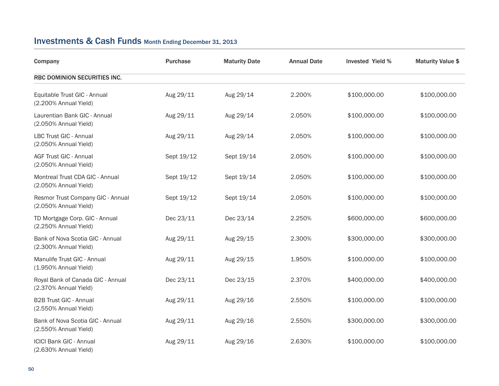### Investments & Cash Funds Month Ending December 31, <sup>2013</sup>

| Company                                                    | Purchase   | <b>Maturity Date</b> | <b>Annual Date</b> | <b>Invested Yield %</b> | <b>Maturity Value \$</b> |
|------------------------------------------------------------|------------|----------------------|--------------------|-------------------------|--------------------------|
| RBC DOMINION SECURITIES INC.                               |            |                      |                    |                         |                          |
| Equitable Trust GIC - Annual<br>(2.200% Annual Yield)      | Aug 29/11  | Aug 29/14            | 2.200%             | \$100,000.00            | \$100,000.00             |
| Laurentian Bank GIC - Annual<br>(2.050% Annual Yield)      | Aug 29/11  | Aug 29/14            | 2.050%             | \$100,000.00            | \$100,000.00             |
| LBC Trust GIC - Annual<br>(2.050% Annual Yield)            | Aug 29/11  | Aug 29/14            | 2.050%             | \$100,000.00            | \$100,000.00             |
| <b>AGF Trust GIC - Annual</b><br>(2.050% Annual Yield)     | Sept 19/12 | Sept 19/14           | 2.050%             | \$100,000.00            | \$100,000.00             |
| Montreal Trust CDA GIC - Annual<br>(2.050% Annual Yield)   | Sept 19/12 | Sept 19/14           | 2.050%             | \$100,000.00            | \$100,000.00             |
| Resmor Trust Company GIC - Annual<br>(2.050% Annual Yield) | Sept 19/12 | Sept 19/14           | 2.050%             | \$100,000.00            | \$100,000.00             |
| TD Mortgage Corp. GIC - Annual<br>(2.250% Annual Yield)    | Dec 23/11  | Dec 23/14            | 2.250%             | \$600,000.00            | \$600,000.00             |
| Bank of Nova Scotia GIC - Annual<br>(2.300% Annual Yield)  | Aug 29/11  | Aug 29/15            | 2.300%             | \$300,000.00            | \$300,000.00             |
| Manulife Trust GIC - Annual<br>(1.950% Annual Yield)       | Aug 29/11  | Aug 29/15            | 1.950%             | \$100,000.00            | \$100,000.00             |
| Royal Bank of Canada GIC - Annual<br>(2.370% Annual Yield) | Dec 23/11  | Dec 23/15            | 2.370%             | \$400,000.00            | \$400,000.00             |
| <b>B2B Trust GIC - Annual</b><br>(2.550% Annual Yield)     | Aug 29/11  | Aug 29/16            | 2.550%             | \$100,000.00            | \$100,000.00             |
| Bank of Nova Scotia GIC - Annual<br>(2.550% Annual Yield)  | Aug 29/11  | Aug 29/16            | 2.550%             | \$300,000.00            | \$300,000.00             |
| <b>ICICI Bank GIC - Annual</b><br>(2.630% Annual Yield)    | Aug 29/11  | Aug 29/16            | 2.630%             | \$100,000.00            | \$100,000.00             |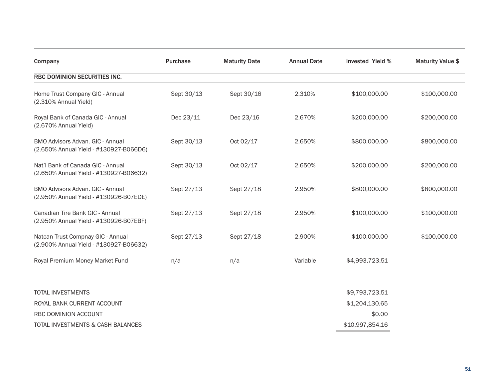| Company                                                                           | Purchase   | <b>Maturity Date</b> | <b>Annual Date</b> | <b>Invested Yield %</b> | <b>Maturity Value \$</b> |
|-----------------------------------------------------------------------------------|------------|----------------------|--------------------|-------------------------|--------------------------|
| RBC DOMINION SECURITIES INC.                                                      |            |                      |                    |                         |                          |
| Home Trust Company GIC - Annual<br>(2.310% Annual Yield)                          | Sept 30/13 | Sept 30/16           | 2.310%             | \$100,000.00            | \$100,000.00             |
| Royal Bank of Canada GIC - Annual<br>(2.670% Annual Yield)                        | Dec 23/11  | Dec 23/16            | 2.670%             | \$200,000.00            | \$200,000.00             |
| <b>BMO Advisors Advan, GIC - Annual</b><br>(2.650% Annual Yield - #130927-B066D6) | Sept 30/13 | Oct 02/17            | 2.650%             | \$800,000.00            | \$800,000.00             |
| Nat'l Bank of Canada GIC - Annual<br>(2.650% Annual Yield - #130927-B06632)       | Sept 30/13 | Oct 02/17            | 2.650%             | \$200,000.00            | \$200,000.00             |
| BMO Advisors Advan. GIC - Annual<br>(2.950% Annual Yield - #130926-B07EDE)        | Sept 27/13 | Sept 27/18           | 2.950%             | \$800,000.00            | \$800,000.00             |
| Canadian Tire Bank GIC - Annual<br>(2.950% Annual Yield - #130926-B07EBF)         | Sept 27/13 | Sept 27/18           | 2.950%             | \$100,000.00            | \$100,000.00             |
| Natcan Trust Compnay GIC - Annual<br>(2.900% Annual Yield - #130927-B06632)       | Sept 27/13 | Sept 27/18           | 2.900%             | \$100,000.00            | \$100,000.00             |
| Royal Premium Money Market Fund                                                   | n/a        | n/a                  | Variable           | \$4,993,723.51          |                          |
| <b>TOTAL INVESTMENTS</b>                                                          |            |                      |                    | \$9,793,723.51          |                          |
| ROYAL BANK CURRENT ACCOUNT                                                        |            |                      |                    | \$1,204,130.65          |                          |
| RBC DOMINION ACCOUNT                                                              |            |                      |                    | \$0.00                  |                          |
| TOTAL INVESTMENTS & CASH BALANCES                                                 |            |                      |                    | \$10,997,854.16         |                          |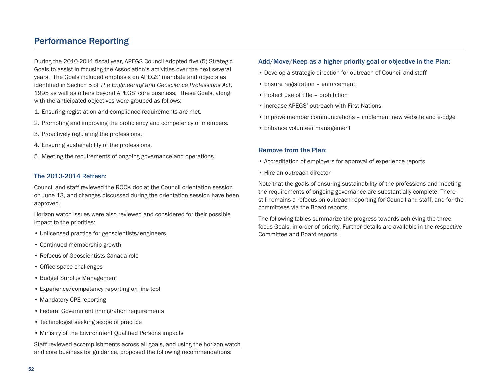### Performance Reporting

During the 2010-2011 fiscal year, APEGS Council adopted five (5) Strategic Goals to assist in focusing the Association's activities over the next several years. The Goals included emphasis on APEGS' mandate and objects as identified in Section 5 of *The Engineering and Geoscience Professions Act*, 1995 as well as others beyond APEGS' core business. These Goals, along with the anticipated objectives were grouped as follows:

- 1. Ensuring registration and compliance requirements are met.
- 2. Promoting and improving the proficiency and competency of members.
- 3. Proactively regulating the professions.
- 4. Ensuring sustainability of the professions.
- 5. Meeting the requirements of ongoing governance and operations.

#### The 2013-2014 Refresh:

Council and staff reviewed the ROCK.doc at the Council orientation session on June 13, and changes discussed during the orientation session have been approved.

Horizon watch issues were also reviewed and considered for their possible impact to the priorities:

- Unlicensed practice for geoscientists/engineers
- Continued membership growth
- Refocus of Geoscientists Canada role
- Office space challenges
- Budget Surplus Management
- Experience/competency reporting on line tool
- Mandatory CPE reporting
- Federal Government immigration requirements
- Technologist seeking scope of practice
- Ministry of the Environment Qualified Persons impacts

Staff reviewed accomplishments across all goals, and using the horizon watch and core business for guidance, proposed the following recommendations:

#### Add/Move/Keep as a higher priority goal or objective in the Plan:

- Develop a strategic direction for outreach of Council and staff
- Ensure registration enforcement
- Protect use of title prohibition
- Increase APEGS' outreach with First Nations
- Improve member communications implement new website and e-Edge
- Enhance volunteer management

#### Remove from the Plan:

- Accreditation of employers for approval of experience reports
- Hire an outreach director

Note that the goals of ensuring sustainability of the professions and meeting the requirements of ongoing governance are substantially complete. There still remains a refocus on outreach reporting for Council and staff, and for the committees via the Board reports.

The following tables summarize the progress towards achieving the three focus Goals, in order of priority. Further details are available in the respective Committee and Board reports.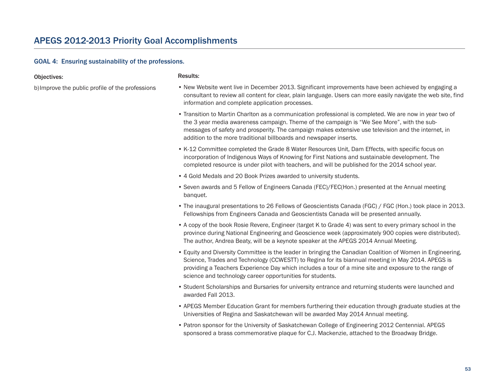#### GOAL 4: Ensuring sustainability of the professions.

#### Objectives:

b)Improve the public profile of the professions

- Results:
- New Website went live in December 2013. Significant improvements have been achieved by engaging a consultant to review all content for clear, plain language. Users can more easily navigate the web site, find information and complete application processes.
- Transition to Martin Charlton as a communication professional is completed. We are now in year two of the 3 year media awareness campaign. Theme of the campaign is "We See More", with the submessages of safety and prosperity. The campaign makes extensive use television and the internet, in addition to the more traditional billboards and newspaper inserts.
- K-12 Committee completed the Grade 8 Water Resources Unit, Dam Effects, with specific focus on incorporation of Indigenous Ways of Knowing for First Nations and sustainable development. The completed resource is under pilot with teachers, and will be published for the 2014 school year.
- 4 Gold Medals and 20 Book Prizes awarded to university students.
- Seven awards and 5 Fellow of Engineers Canada (FEC)/FEC(Hon.) presented at the Annual meeting banquet.
- The inaugural presentations to 26 Fellows of Geoscientists Canada (FGC) / FGC (Hon.) took place in 2013. Fellowships from Engineers Canada and Geoscientists Canada will be presented annually.
- A copy of the book Rosie Revere, Engineer (target K to Grade 4) was sent to every primary school in the province during National Engineering and Geoscience week (approximately 900 copies were distributed). The author, Andrea Beaty, will be a keynote speaker at the APEGS 2014 Annual Meeting.
- Equity and Diversity Committee is the leader in bringing the Canadian Coalition of Women in Engineering, Science, Trades and Technology (CCWESTT) to Regina for its biannual meeting in May 2014. APEGS is providing a Teachers Experience Day which includes a tour of a mine site and exposure to the range of science and technology career opportunities for students.
- Student Scholarships and Bursaries for university entrance and returning students were launched and awarded Fall 2013.
- APEGS Member Education Grant for members furthering their education through graduate studies at the Universities of Regina and Saskatchewan will be awarded May 2014 Annual meeting.
- Patron sponsor for the University of Saskatchewan College of Engineering 2012 Centennial. APEGS sponsored a brass commemorative plaque for C.J. Mackenzie, attached to the Broadway Bridge.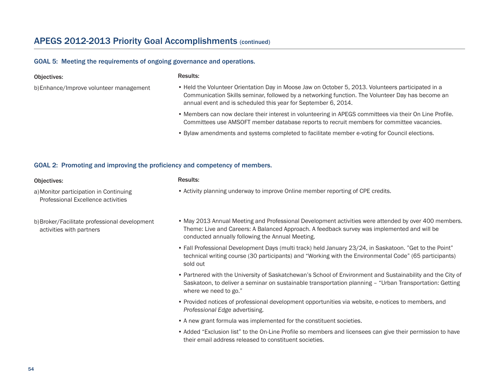### APEGS 2012-2013 Priority Goal Accomplishments (continued)

#### GOAL 5: Meeting the requirements of ongoing governance and operations.

#### Objectives:

b)Enhance/Improve volunteer management

- Held the Volunteer Orientation Day in Moose Jaw on October 5, 2013. Volunteers participated in a Communication Skills seminar, followed by a networking function. The Volunteer Day has become an annual event and is scheduled this year for September 6, 2014.
- Members can now declare their interest in volunteering in APEGS committees via their On Line Profile. Committees use AMSOFT member database reports to recruit members for committee vacancies.
- Bylaw amendments and systems completed to facilitate member e-voting for Council elections.

#### GOAL 2: Promoting and improving the proficiency and competency of members.

#### Objectives:

#### Results:

Results:

• Activity planning underway to improve Online member reporting of CPE credits.

- a)Monitor participation in Continuing Professional Excellence activities
- b)Broker/Facilitate professional development activities with partners
- May 2013 Annual Meeting and Professional Development activities were attended by over 400 members. Theme: Live and Careers: A Balanced Approach. A feedback survey was implemented and will be conducted annually following the Annual Meeting.
- Fall Professional Development Days (multi track) held January 23/24, in Saskatoon. "Get to the Point" technical writing course (30 participants) and "Working with the Environmental Code" (65 participants) sold out
- Partnered with the University of Saskatchewan's School of Environment and Sustainability and the City of Saskatoon, to deliver a seminar on sustainable transportation planning – "Urban Transportation: Getting where we need to go."
- Provided notices of professional development opportunities via website, e-notices to members, and *Professional Edge* advertising.
- A new grant formula was implemented for the constituent societies.
- Added "Exclusion list" to the On-Line Profile so members and licensees can give their permission to have their email address released to constituent societies.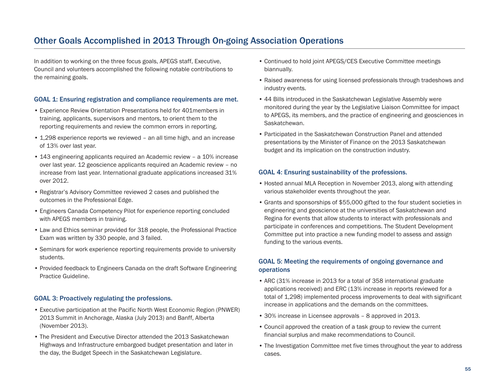### Other Goals Accomplished in 2013 Through On-going Association Operations

In addition to working on the three focus goals, APEGS staff, Executive, Council and volunteers accomplished the following notable contributions to the remaining goals.

#### GOAL 1: Ensuring registration and compliance requirements are met.

- Experience Review Orientation Presentations held for 401members in training, applicants, supervisors and mentors, to orient them to the reporting requirements and review the common errors in reporting.
- 1,298 experience reports we reviewed an all time high, and an increase of 13% over last year.
- 143 engineering applicants required an Academic review a 10% increase over last year. 12 geoscience applicants required an Academic review – no increase from last year. International graduate applications increased 31% over 2012.
- Registrar's Advisory Committee reviewed 2 cases and published the outcomes in the Professional Edge.
- Engineers Canada Competency Pilot for experience reporting concluded with APEGS members in training.
- Law and Ethics seminar provided for 318 people, the Professional Practice Exam was written by 330 people, and 3 failed.
- Seminars for work experience reporting requirements provide to university students.
- Provided feedback to Engineers Canada on the draft Software Engineering Practice Guideline.

#### GOAL 3: Proactively regulating the professions.

- Executive participation at the Pacific North West Economic Region (PNWER) 2013 Summit in Anchorage, Alaska (July 2013) and Banff, Alberta (November 2013).
- The President and Executive Director attended the 2013 Saskatchewan Highways and Infrastructure embargoed budget presentation and later in the day, the Budget Speech in the Saskatchewan Legislature.
- Continued to hold joint APEGS/CES Executive Committee meetings biannually.
- Raised awareness for using licensed professionals through tradeshows and industry events.
- 44 Bills introduced in the Saskatchewan Legislative Assembly were monitored during the year by the Legislative Liaison Committee for impact to APEGS, its members, and the practice of engineering and geosciences in Saskatchewan.
- Participated in the Saskatchewan Construction Panel and attended presentations by the Minister of Finance on the 2013 Saskatchewan budget and its implication on the construction industry.

#### GOAL 4: Ensuring sustainability of the professions.

- Hosted annual MLA Reception in November 2013, along with attending various stakeholder events throughout the year.
- Grants and sponsorships of \$55,000 gifted to the four student societies in engineering and geoscience at the universities of Saskatchewan and Regina for events that allow students to interact with professionals and participate in conferences and competitions. The Student Development Committee put into practice a new funding model to assess and assign funding to the various events.

#### GOAL 5: Meeting the requirements of ongoing governance and operations

- ARC (31% increase in 2013 for a total of 358 international graduate applications received) and ERC (13% increase in reports reviewed for a total of 1,298) implemented process improvements to deal with significant increase in applications and the demands on the committees.
- 30% increase in Licensee approvals 8 approved in 2013.
- Council approved the creation of a task group to review the current financial surplus and make recommendations to Council.
- The Investigation Committee met five times throughout the year to address cases.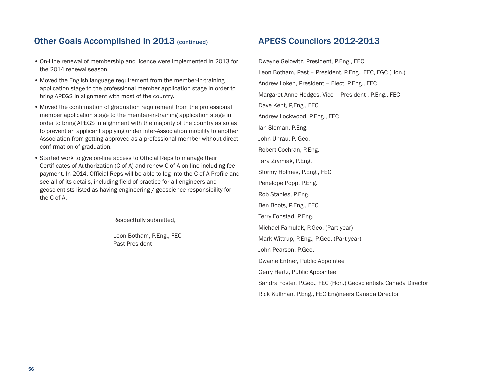### Other Goals Accomplished in 2013 (continued)

- APEGS Councilors 2012-2013
- On-Line renewal of membership and licence were implemented in 2013 for the 2014 renewal season.
- Moved the English language requirement from the member-in-training application stage to the professional member application stage in order to bring APEGS in alignment with most of the country.
- Moved the confirmation of graduation requirement from the professional member application stage to the member-in-training application stage in order to bring APEGS in alignment with the majority of the country as so as to prevent an applicant applying under inter-Association mobility to another Association from getting approved as a professional member without direct confirmation of graduation.
- Started work to give on-line access to Official Reps to manage their Certificates of Authorization (C of A) and renew C of A on-line including fee payment. In 2014, Official Reps will be able to log into the C of A Profile and see all of its details, including field of practice for all engineers and geoscientists listed as having engineering / geoscience responsibility for the C of A.

Respectfully submitted,

Leon Botham, P.Eng., FEC Past President

Dwayne Gelowitz, President, P.Eng., FEC Leon Botham, Past – President, P.Eng., FEC, FGC (Hon.) Andrew Loken, President – Elect, P.Eng., FEC Margaret Anne Hodges, Vice – President , P.Eng., FEC Dave Kent, P,Eng., FEC Andrew Lockwood, P.Eng., FEC Ian Sloman, P.Eng. John Unrau, P. Geo. Robert Cochran, P.Eng. Tara Zrymiak, P.Eng. Stormy Holmes, P.Eng., FEC Penelope Popp, P.Eng. Rob Stables, P.Eng. Ben Boots, P.Eng., FEC Terry Fonstad, P.Eng. Michael Famulak, P.Geo. (Part year) Mark Wittrup, P.Eng., P.Geo. (Part year) John Pearson, P.Geo. Dwaine Entner, Public Appointee Gerry Hertz, Public Appointee Sandra Foster, P.Geo., FEC (Hon.) Geoscientists Canada Director Rick Kullman, P.Eng., FEC Engineers Canada Director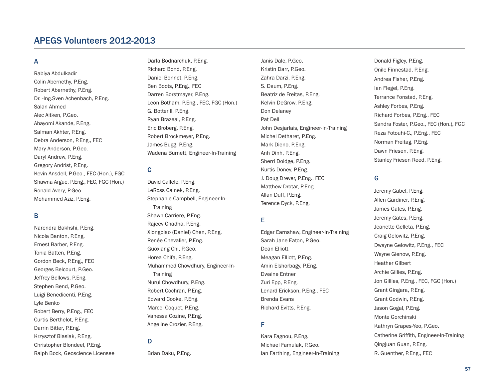### APEGS Volunteers 2012-2013

#### A

Rabiya Abdulkadir Colin Abernethy, P.Eng. Robert Abernethy, P.Eng. Dr. -Ing.Sven Achenbach, P.Eng. Salan Ahmed Alec Aitken, P.Geo. Abayomi Akande, P.Eng. Salman Akhter, P.Eng. Debra Anderson, P.Eng., FEC Mary Anderson, P.Geo. Daryl Andrew, P.Eng. Gregory Andrist, P.Eng. Kevin Ansdell, P.Geo., FEC (Hon.), FGC Shawna Argue, P.Eng., FEC, FGC (Hon.) Ronald Avery, P.Geo. Mohammed Aziz, P.Eng.

#### B

Narendra Bakhshi, P.Eng. Nicola Banton, P.Eng. Ernest Barber, P.Eng. Tonia Batten, P.Eng. Gordon Beck, P.Eng., FEC Georges Belcourt, P.Geo. Jeffrey Bellows, P.Eng. Stephen Bend, P.Geo. Luigi Benedicenti, P.Eng. Lyle Benko Robert Berry, P.Eng., FEC Curtis Berthelot, P.Eng. Darrin Bitter, P.Eng. Krzysztof Blasiak, P.Eng. Christopher Blondeel, P.Eng. Ralph Bock, Geoscience Licensee

Darla Bodnarchuk, P.Eng. Richard Bond, P.Eng. Daniel Bonnet, P.Eng. Ben Boots, P.Eng., FEC Darren Borstmayer, P.Eng. Leon Botham, P.Eng., FEC, FGC (Hon.) G. Botterill, P.Eng. Ryan Brazeal, P.Eng. Eric Broberg, P.Eng. Robert Brockmeyer, P.Eng. James Bugg, P.Eng. Wadena Burnett, Engineer-In-Training

#### C

David Callele, P.Eng. LeRoss Calnek, P.Eng. Stephanie Campbell, Engineer-In-**Training** Shawn Carriere, P.Eng. Rajeev Chadha, P.Eng. Xiongbiao (Daniel) Chen, P.Eng. Renée Chevalier, P.Eng. Guoxiang Chi, P.Geo. Horea Chifa, P.Eng. Muhammed Chowdhury, Engineer-In-**Training** Nurul Chowdhury, P.Eng. Robert Cochran, P.Eng. Edward Cooke, P.Eng. Marcel Coquet, P.Eng. Vanessa Cozine, P.Eng. Angeline Crozier, P.Eng.

#### D

Brian Daku, P.Eng.

Janis Dale, P.Geo. Kristin Darr, P.Geo. Zahra Darzi, P.Eng. S. Daum, P.Eng. Beatriz de Freitas, P.Eng. Kelvin DeGrow, P.Eng. Don Delaney Pat Dell John Desjarlais, Engineer-In-Training Michel Detharet, P.Eng. Mark Dieno, P.Eng. Anh Dinh, P.Eng. Sherri Doidge, P.Eng. Kurtis Doney, P.Eng. J. Doug Drever, P.Eng., FEC Matthew Drotar, P.Eng. Allan Duff, P.Eng. Terence Dyck, P.Eng.

#### E

Edgar Earnshaw, Engineer-In-Training Sarah Jane Eaton, P.Geo. Dean Elliott Meagan Elliott, P.Eng. Amin Elshorbagy, P.Eng. Dwaine Entner Zuri Epp, P.Eng. Lenard Erickson, P.Eng., FEC Brenda Evans Richard Evitts, P.Eng.

#### F

Kara Fagnou, P.Eng. Michael Famulak, P.Geo. Ian Farthing, Engineer-In-Training

Donald Figley, P.Eng. Onile Finnestad, P.Eng. Andrea Fisher, P.Eng. Ian Flegel, P.Eng. Terrance Fonstad, P.Eng. Ashley Forbes, P.Eng. Richard Forbes, P.Eng., FEC Sandra Foster, P.Geo., FEC (Hon.), FGC Reza Fotouhi-C., P.Eng., FEC Norman Freitag, P.Eng. Dawn Friesen, P.Eng. Stanley Friesen Reed, P.Eng.

#### G

Jeremy Gabel, P.Eng. Allen Gardiner, P.Eng. James Gates, P.Eng. Jeremy Gates, P.Eng. Jeanette Gelleta, P.Eng. Craig Gelowitz, P.Eng. Dwayne Gelowitz, P.Eng., FEC Wayne Gienow, P.Eng. Heather Gilbert Archie Gillies, P.Eng. Jon Gillies, P.Eng., FEC, FGC (Hon.) Grant Gingara, P.Eng. Grant Godwin, P.Eng. Jason Gogal, P.Eng. Monte Gorchinski Kathryn Grapes-Yeo, P.Geo. Catherine Griffith, Engineer-In-Training Qingjuan Guan, P.Eng. R. Guenther, P.Eng., FEC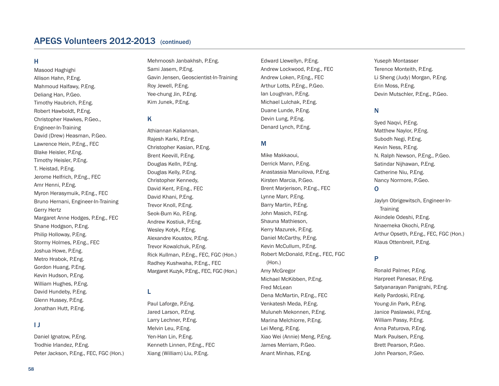### APEGS Volunteers 2012-2013 (continued)

#### H

Masood Haghighi Allison Hahn, P.Eng. Mahmoud Halfawy, P.Eng. Deliang Han, P.Geo. Timothy Haubrich, P.Eng. Robert Hawboldt, P.Eng. Christopher Hawkes, P.Geo., Engineer-In-Training David (Drew) Heasman, P.Geo. Lawrence Hein, P.Eng., FEC Blake Heisler, P.Eng. Timothy Heisler, P.Eng. T. Heistad, P.Eng. Jerome Helfrich, P.Eng., FEC Amr Henni, P.Eng. Myron Herasymuik, P.Eng., FEC Bruno Hernani, Engineer-In-Training Gerry Hertz Margaret Anne Hodges, P.Eng., FEC Shane Hodgson, P.Eng. Philip Holloway, P.Eng. Stormy Holmes, P.Eng., FEC Joshua Howe, P.Eng. Metro Hrabok, P.Eng. Gordon Huang, P.Eng. Kevin Hudson, P.Eng. William Hughes, P.Eng. David Hundeby, P.Eng. Glenn Hussey, P.Eng. Jonathan Hutt, P.Eng.

#### I J

Daniel Ignatow, P.Eng. Trodhie Irlandez, P.Eng. Peter Jackson, P.Eng., FEC, FGC (Hon.)

Mehrnoosh Janbakhsh, P.Eng. Sami Jasem, P.Eng. Gavin Jensen, Geoscientist-In-Training Roy Jewell, P.Eng. Yee-chung Jin, P.Eng. Kim Junek, P.Eng.

#### K

Athiannan Kaliannan, Rajesh Karki, P.Eng. Christopher Kasian, P.Eng. Brent Keevill, P.Eng. Douglas Kelln, P.Eng. Douglas Kelly, P.Eng. Christopher Kennedy, David Kent, P.Eng., FEC David Khani, P.Eng. Trevor Knoll, P.Eng. Seok-Bum Ko, P.Eng. Andrew Kostiuk, P.Eng. Wesley Kotyk, P.Eng. Alexandre Koustov, P.Eng. Trevor Kowalchuk, P.Eng. Rick Kullman, P.Eng., FEC, FGC (Hon.) Radhey Kushwaha, P.Eng., FEC Margaret Kuzyk, P.Eng., FEC, FGC (Hon.)

#### L

Paul Laforge, P.Eng. Jared Larson, P.Eng. Larry Lechner, P.Eng. Melvin Leu, P.Eng. Yen-Han Lin, P.Eng. Kenneth Linnen, P.Eng., FEC Xiang (William) Liu, P.Eng.

Edward Llewellyn, P.Eng. Andrew Lockwood, P.Eng., FEC Andrew Loken, P.Eng., FEC Arthur Lotts, P.Eng., P.Geo. Ian Loughran, P.Eng. Michael Lulchak, P.Eng. Duane Lunde, P.Eng. Devin Lung, P.Eng. Denard Lynch, P.Eng.

#### M

Mike Makkaoui, Derrick Mann, P.Eng. Anastassia Manuilova, P.Eng. Kirsten Marcia, P.Geo. Brent Marjerison, P.Eng., FEC Lynne Marr, P.Eng. Barry Martin, P.Eng. John Masich, P.Eng. Shauna Mathieson, Kerry Mazurek, P.Eng. Daniel McCarthy, P.Eng. Kevin McCullum, P.Eng. Robert McDonald, P.Eng., FEC, FGC (Hon.) Amy McGregor Michael McKibben, P.Eng. Fred McLean Dena McMartin, P.Eng., FEC Venkatesh Meda, P.Eng. Muluneh Mekonnen, P.Eng. Marina Melchiorre, P.Eng. Lei Meng, P.Eng. Xiao Wei (Annie) Meng, P.Eng. James Merriam, P.Geo. Anant Minhas, P.Eng.

Yuseph Montasser Terence Monteith, P.Eng. Li Sheng (Judy) Morgan, P.Eng. Erin Moss, P.Eng. Devin Mutschler, P.Eng., P.Geo.

#### N

Syed Naqvi, P.Eng. Matthew Naylor, P.Eng. Subodh Negi, P.Eng. Kevin Ness, P.Eng. N. Ralph Newson, P.Eng., P.Geo. Satindar Nijhawan, P.Eng. Catherine Niu, P.Eng. Nancy Normore, P.Geo.

#### O

Jaylyn Obrigewitsch, Engineer-In-**Training** Akindele Odeshi, P.Eng. Nnaemeka Okochi, P.Eng. Arthur Opseth, P.Eng., FEC, FGC (Hon.) Klaus Ottenbreit, P.Eng.

#### P

Ronald Palmer, P.Eng. Harpreet Panesar, P.Eng. Satyanarayan Panigrahi, P.Eng. Kelly Pardoski, P.Eng. Young-Jin Park, P.Eng. Janice Paslawski, P.Eng. William Passy, P.Eng. Anna Paturova, P.Eng. Mark Paulsen, P.Eng. Brett Pearson, P.Geo. John Pearson, P.Geo.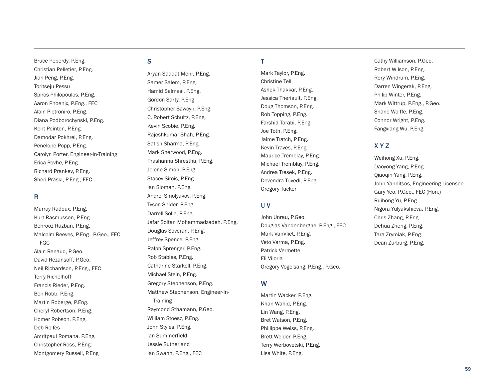Christian Pelletier, P.Eng. Jian Peng, P.Eng. Toritseju Pessu Spiros Philopoulos, P.Eng. Aaron Phoenix, P.Eng., FEC Alain Pietroniro, P.Eng. Diana Podborochynski, P.Eng. Kent Pointon, P.Eng. Damodar Pokhrel, P.Eng. Penelope Popp, P.Eng. Carolyn Porter, Engineer-In-Training Erica Povhe, P.Eng. Richard Prankev, P.Eng. Sheri Praski, P.Eng., FEC

Bruce Peberdy, P.Eng.

#### R

Murray Radoux, P.Eng. Kurt Rasmussen, P.Eng. Behrooz Razban, P.Eng. Malcolm Reeves, P.Eng., P.Geo., FEC, F G C Alain Renaud, P.Geo. David Rezansoff, P.Geo. Neil Richardson, P.Eng., FEC Terry Richelhoff Francis Rieder, P.Eng. Ben Robb, P.Eng. Martin Roberge, P.Eng. Cheryl Robertson, P.Eng. Homer Robson, P.Eng. Deb Rolfes Amritpaul Romana, P.Eng. Christopher Ross, P.Eng. Montgomery Russell, P.Eng

#### S

Aryan Saadat Mehr, P.Eng. Samer Salem, P.Eng. Hamid Salmasi, P.Eng. Gordon Sarty, P.Eng. Christopher Sawcyn, P.Eng. C. Robert Schultz, P.Eng. Kevin Scobie, P.Eng. Rajeshkumar Shah, P.Eng. Satish Sharma, P.Eng. Mark Sherwood, P.Eng. Prashanna Shrestha, P.Eng. Jolene Simon, P.Eng. Stacey Sirois, P.Eng. lan Sloman, P.Eng. Andrei Smolyakov, P.Eng. Tyson Snider, P.Eng. Darrell Solie, P.Eng. Jafar Soltan Mohammadzadeh, P.Eng. Douglas Soveran, P.Eng. Jeffrey Spence, P.Eng. Ralph Sprenger, P.Eng. Rob Stables, P.Eng. Catharine Starkell, P.Eng. Michael Stein, P.Eng. Gregory Stephenson, P.Eng. Matthew Stephenson, Engineer-In-Training Raymond Sthamann, P.Geo. William Stoesz, P.Eng. John Styles, P.Eng. lan Summerfield Jessie Sutherland lan Swann, P.Eng., FEC

#### T

Mark Taylor, P.Eng. Christine Tell Ashok Thakkar, P.Eng. Jessica Theriault, P.Eng. Doug Thomson, P.Eng. Rob Topping, P.Eng. Farshid Torabi, P.Eng. Joe Toth, P.Eng. Jaime Tratch, P.Eng. Kevin Traves, P.Eng. Maurice Tremblay, P.Eng. Michael Tremblay, P.Eng. Andrea Tresek, P.Eng. Devendra Trivedi, P.Eng. Gregory Tucker

#### U V

John Unrau, P.Geo. Douglas Vandenberghe, P.Eng., FEC Mark VanVliet, P.Eng. Veto Varma, P.Eng. Patrick Vermette Eli Viloria Gregory Vogelsang, P.Eng., P.Geo.

#### W

Martin Wacker, P.Eng. Khan Wahid, P.Eng. Lin Wang, P.Eng. Bret Watson, P.Eng. Phillippe Weiss, P.Eng. Brett Welder, P.Eng. Terry Werbovetski, P.Eng. Lisa White, P.Eng.

Cathy Williamson, P.Geo. Robert Wilson, P.Eng. Rory Windrum, P.Eng. Darren Wingerak, P.Eng. Philip Winter, P.Eng. Mark Wittrup, P.Eng., P.Geo. Shane Wolffe, P.Eng. Connor Wright, P.Eng. Fangxiang Wu, P.Eng.

#### X Y Z

Weihong Xu, P.Eng. Daoyong Yang, P.Eng. Qiaoqin Yang, P.Eng. John Yannitsos, Engineering Licensee Gary Yeo, P.Geo., FEC (Hon.) Ruihong Yu, P.Eng. Nigora Yulyakshieva, P.Eng. Chris Zhang, P.Eng. Dehua Zheng, P.Eng. Tara Zrymiak, P.Eng. Dean Zurburg, P.Eng.